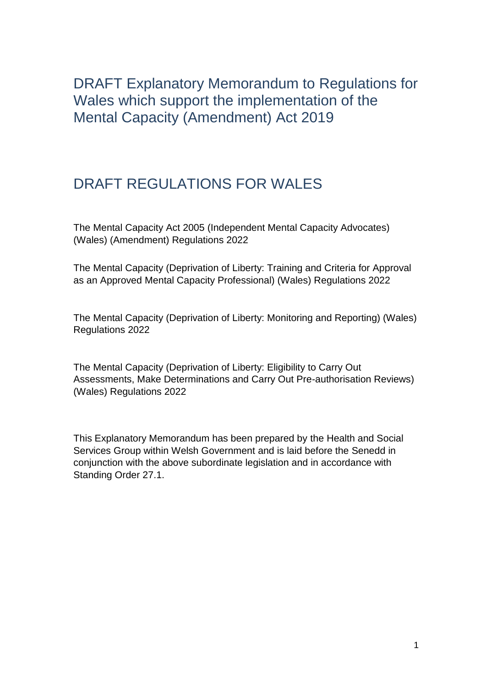<span id="page-0-0"></span>DRAFT Explanatory Memorandum to Regulations for Wales which support the implementation of the Mental Capacity (Amendment) Act 2019

# <span id="page-0-1"></span>DRAFT REGULATIONS FOR WALES

The Mental Capacity Act 2005 (Independent Mental Capacity Advocates) (Wales) (Amendment) Regulations 2022

The Mental Capacity (Deprivation of Liberty: Training and Criteria for Approval as an Approved Mental Capacity Professional) (Wales) Regulations 2022

The Mental Capacity (Deprivation of Liberty: Monitoring and Reporting) (Wales) Regulations 2022

The Mental Capacity (Deprivation of Liberty: Eligibility to Carry Out Assessments, Make Determinations and Carry Out Pre-authorisation Reviews) (Wales) Regulations 2022

This Explanatory Memorandum has been prepared by the Health and Social Services Group within Welsh Government and is laid before the Senedd in conjunction with the above subordinate legislation and in accordance with Standing Order 27.1.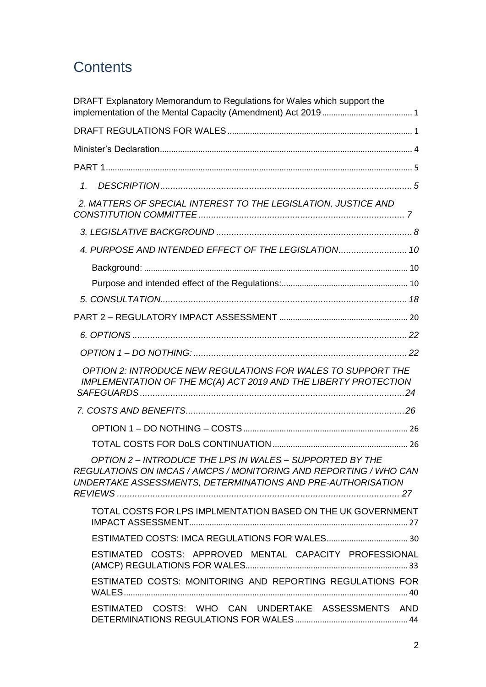# **Contents**

| DRAFT Explanatory Memorandum to Regulations for Wales which support the                                                                                                                      |
|----------------------------------------------------------------------------------------------------------------------------------------------------------------------------------------------|
|                                                                                                                                                                                              |
|                                                                                                                                                                                              |
|                                                                                                                                                                                              |
| $\mathcal{I}$ .                                                                                                                                                                              |
| 2. MATTERS OF SPECIAL INTEREST TO THE LEGISLATION, JUSTICE AND                                                                                                                               |
|                                                                                                                                                                                              |
| 4. PURPOSE AND INTENDED EFFECT OF THE LEGISLATION 10                                                                                                                                         |
|                                                                                                                                                                                              |
|                                                                                                                                                                                              |
|                                                                                                                                                                                              |
|                                                                                                                                                                                              |
|                                                                                                                                                                                              |
|                                                                                                                                                                                              |
| OPTION 2: INTRODUCE NEW REGULATIONS FOR WALES TO SUPPORT THE<br>IMPLEMENTATION OF THE MC(A) ACT 2019 AND THE LIBERTY PROTECTION                                                              |
|                                                                                                                                                                                              |
|                                                                                                                                                                                              |
|                                                                                                                                                                                              |
| OPTION 2 - INTRODUCE THE LPS IN WALES - SUPPORTED BY THE<br>REGULATIONS ON IMCAS / AMCPS / MONITORING AND REPORTING / WHO CAN<br>UNDERTAKE ASSESSMENTS, DETERMINATIONS AND PRE-AUTHORISATION |
| TOTAL COSTS FOR LPS IMPLMENTATION BASED ON THE UK GOVERNMENT                                                                                                                                 |
|                                                                                                                                                                                              |
| ESTIMATED COSTS: APPROVED MENTAL CAPACITY PROFESSIONAL                                                                                                                                       |
| ESTIMATED COSTS: MONITORING AND REPORTING REGULATIONS FOR                                                                                                                                    |
| ESTIMATED COSTS: WHO CAN UNDERTAKE ASSESSMENTS AND                                                                                                                                           |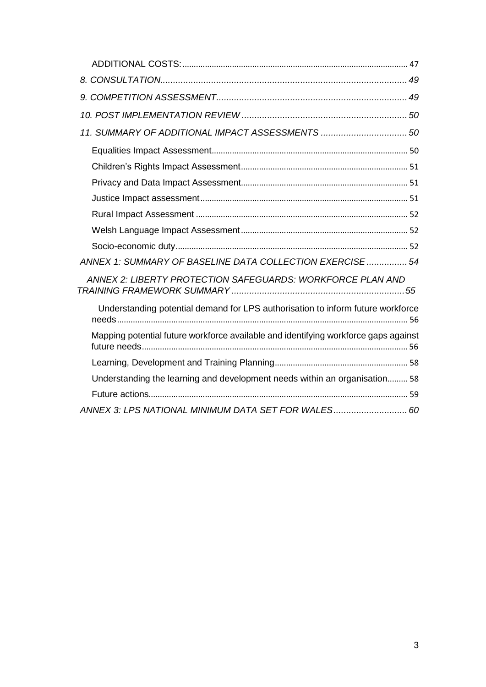| 11. SUMMARY OF ADDITIONAL IMPACT ASSESSMENTS  50                                    |  |
|-------------------------------------------------------------------------------------|--|
|                                                                                     |  |
|                                                                                     |  |
|                                                                                     |  |
|                                                                                     |  |
|                                                                                     |  |
|                                                                                     |  |
|                                                                                     |  |
| ANNEX 1: SUMMARY OF BASELINE DATA COLLECTION EXERCISE  54                           |  |
| ANNEX 2: LIBERTY PROTECTION SAFEGUARDS: WORKFORCE PLAN AND                          |  |
| Understanding potential demand for LPS authorisation to inform future workforce     |  |
| Mapping potential future workforce available and identifying workforce gaps against |  |
|                                                                                     |  |
| Understanding the learning and development needs within an organisation 58          |  |
|                                                                                     |  |
| ANNEX 3: LPS NATIONAL MINIMUM DATA SET FOR WALES 60                                 |  |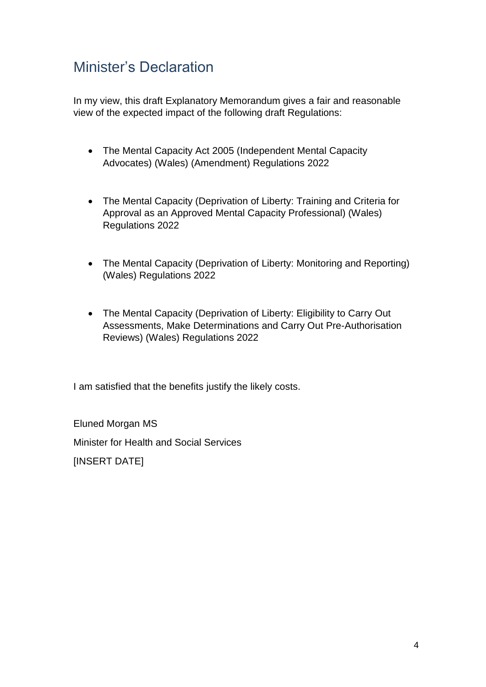# <span id="page-3-0"></span>Minister's Declaration

In my view, this draft Explanatory Memorandum gives a fair and reasonable view of the expected impact of the following draft Regulations:

- The Mental Capacity Act 2005 (Independent Mental Capacity Advocates) (Wales) (Amendment) Regulations 2022
- The Mental Capacity (Deprivation of Liberty: Training and Criteria for Approval as an Approved Mental Capacity Professional) (Wales) Regulations 2022
- The Mental Capacity (Deprivation of Liberty: Monitoring and Reporting) (Wales) Regulations 2022
- The Mental Capacity (Deprivation of Liberty: Eligibility to Carry Out Assessments, Make Determinations and Carry Out Pre-Authorisation Reviews) (Wales) Regulations 2022

I am satisfied that the benefits justify the likely costs.

Eluned Morgan MS Minister for Health and Social Services **IINSERT DATEI**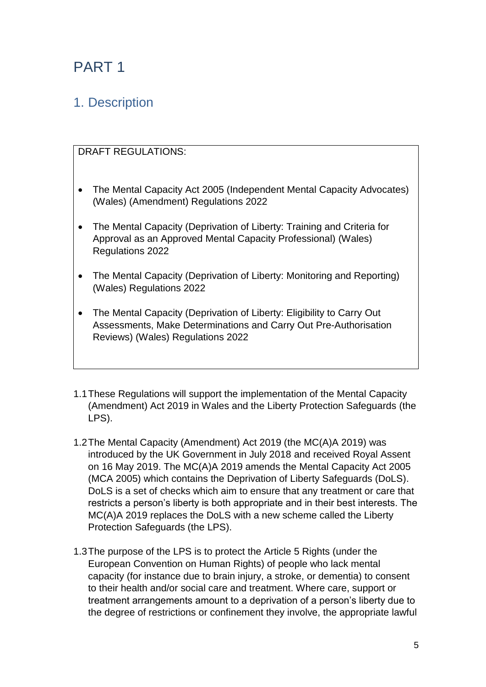# <span id="page-4-0"></span>PART 1

# <span id="page-4-1"></span>1. Description

# DRAFT REGULATIONS:

- The Mental Capacity Act 2005 (Independent Mental Capacity Advocates) (Wales) (Amendment) Regulations 2022
- The Mental Capacity (Deprivation of Liberty: Training and Criteria for Approval as an Approved Mental Capacity Professional) (Wales) Regulations 2022
- The Mental Capacity (Deprivation of Liberty: Monitoring and Reporting) (Wales) Regulations 2022
- The Mental Capacity (Deprivation of Liberty: Eligibility to Carry Out Assessments, Make Determinations and Carry Out Pre-Authorisation Reviews) (Wales) Regulations 2022
- 1.1These Regulations will support the implementation of the Mental Capacity (Amendment) Act 2019 in Wales and the Liberty Protection Safeguards (the LPS).
- 1.2The Mental Capacity (Amendment) Act 2019 (the MC(A)A 2019) was introduced by the UK Government in July 2018 and received Royal Assent on 16 May 2019. The MC(A)A 2019 amends the Mental Capacity Act 2005 (MCA 2005) which contains the Deprivation of Liberty Safeguards (DoLS). DoLS is a set of checks which aim to ensure that any treatment or care that restricts a person's liberty is both appropriate and in their best interests. The MC(A)A 2019 replaces the DoLS with a new scheme called the Liberty Protection Safeguards (the LPS).
- 1.3The purpose of the LPS is to protect the Article 5 Rights (under the European Convention on Human Rights) of people who lack mental capacity (for instance due to brain injury, a stroke, or dementia) to consent to their health and/or social care and treatment. Where care, support or treatment arrangements amount to a deprivation of a person's liberty due to the degree of restrictions or confinement they involve, the appropriate lawful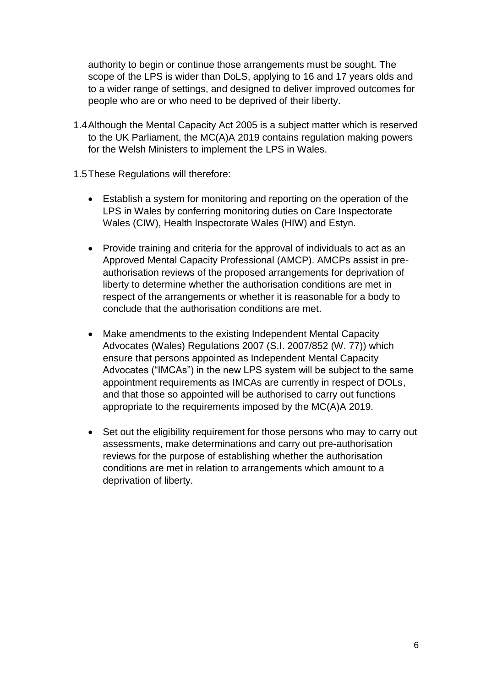authority to begin or continue those arrangements must be sought. The scope of the LPS is wider than DoLS, applying to 16 and 17 years olds and to a wider range of settings, and designed to deliver improved outcomes for people who are or who need to be deprived of their liberty.

- 1.4Although the Mental Capacity Act 2005 is a subject matter which is reserved to the UK Parliament, the MC(A)A 2019 contains regulation making powers for the Welsh Ministers to implement the LPS in Wales.
- 1.5These Regulations will therefore:
	- Establish a system for monitoring and reporting on the operation of the LPS in Wales by conferring monitoring duties on Care Inspectorate Wales (CIW), Health Inspectorate Wales (HIW) and Estyn.
	- Provide training and criteria for the approval of individuals to act as an Approved Mental Capacity Professional (AMCP). AMCPs assist in preauthorisation reviews of the proposed arrangements for deprivation of liberty to determine whether the authorisation conditions are met in respect of the arrangements or whether it is reasonable for a body to conclude that the authorisation conditions are met.
	- Make amendments to the existing Independent Mental Capacity Advocates (Wales) Regulations 2007 (S.I. 2007/852 (W. 77)) which ensure that persons appointed as Independent Mental Capacity Advocates ("IMCAs") in the new LPS system will be subject to the same appointment requirements as IMCAs are currently in respect of DOLs, and that those so appointed will be authorised to carry out functions appropriate to the requirements imposed by the MC(A)A 2019.
	- Set out the eligibility requirement for those persons who may to carry out assessments, make determinations and carry out pre-authorisation reviews for the purpose of establishing whether the authorisation conditions are met in relation to arrangements which amount to a deprivation of liberty.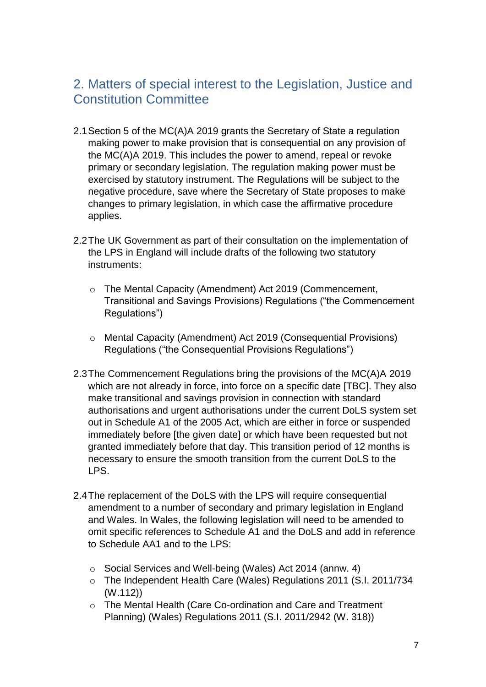# <span id="page-6-0"></span>2. Matters of special interest to the Legislation, Justice and Constitution Committee

- 2.1Section 5 of the MC(A)A 2019 grants the Secretary of State a regulation making power to make provision that is consequential on any provision of the MC(A)A 2019. This includes the power to amend, repeal or revoke primary or secondary legislation. The regulation making power must be exercised by statutory instrument. The Regulations will be subject to the negative procedure, save where the Secretary of State proposes to make changes to primary legislation, in which case the affirmative procedure applies.
- 2.2The UK Government as part of their consultation on the implementation of the LPS in England will include drafts of the following two statutory instruments:
	- o The Mental Capacity (Amendment) Act 2019 (Commencement, Transitional and Savings Provisions) Regulations ("the Commencement Regulations")
	- o Mental Capacity (Amendment) Act 2019 (Consequential Provisions) Regulations ("the Consequential Provisions Regulations")
- 2.3The Commencement Regulations bring the provisions of the MC(A)A 2019 which are not already in force, into force on a specific date [TBC]. They also make transitional and savings provision in connection with standard authorisations and urgent authorisations under the current DoLS system set out in Schedule A1 of the 2005 Act, which are either in force or suspended immediately before [the given date] or which have been requested but not granted immediately before that day. This transition period of 12 months is necessary to ensure the smooth transition from the current DoLS to the LPS.
- 2.4 The replacement of the DoLS with the LPS will require consequential amendment to a number of secondary and primary legislation in England and Wales. In Wales, the following legislation will need to be amended to omit specific references to Schedule A1 and the DoLS and add in reference to Schedule AA1 and to the LPS:
	- o Social Services and Well-being (Wales) Act 2014 (annw. 4)
	- o The Independent Health Care (Wales) Regulations 2011 (S.I. 2011/734 (W.112))
	- o The Mental Health (Care Co-ordination and Care and Treatment Planning) (Wales) Regulations 2011 (S.I. 2011/2942 (W. 318))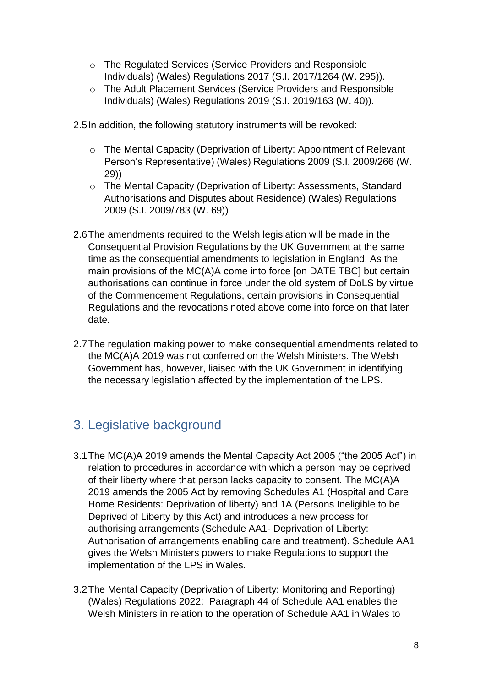- o The Regulated Services (Service Providers and Responsible Individuals) (Wales) Regulations 2017 (S.I. 2017/1264 (W. 295)).
- o The Adult Placement Services (Service Providers and Responsible Individuals) (Wales) Regulations 2019 (S.I. 2019/163 (W. 40)).
- 2.5In addition, the following statutory instruments will be revoked:
	- o The Mental Capacity (Deprivation of Liberty: Appointment of Relevant Person's Representative) (Wales) Regulations 2009 (S.I. 2009/266 (W. 29))
	- o The Mental Capacity (Deprivation of Liberty: Assessments, Standard Authorisations and Disputes about Residence) (Wales) Regulations 2009 (S.I. 2009/783 (W. 69))
- 2.6The amendments required to the Welsh legislation will be made in the Consequential Provision Regulations by the UK Government at the same time as the consequential amendments to legislation in England. As the main provisions of the MC(A)A come into force [on DATE TBC] but certain authorisations can continue in force under the old system of DoLS by virtue of the Commencement Regulations, certain provisions in Consequential Regulations and the revocations noted above come into force on that later date.
- 2.7The regulation making power to make consequential amendments related to the MC(A)A 2019 was not conferred on the Welsh Ministers. The Welsh Government has, however, liaised with the UK Government in identifying the necessary legislation affected by the implementation of the LPS.

# <span id="page-7-0"></span>3. Legislative background

- 3.1The MC(A)A 2019 amends the Mental Capacity Act 2005 ("the 2005 Act") in relation to procedures in accordance with which a person may be deprived of their liberty where that person lacks capacity to consent. The MC(A)A 2019 amends the 2005 Act by removing Schedules A1 (Hospital and Care Home Residents: Deprivation of liberty) and 1A (Persons Ineligible to be Deprived of Liberty by this Act) and introduces a new process for authorising arrangements (Schedule AA1- Deprivation of Liberty: Authorisation of arrangements enabling care and treatment). Schedule AA1 gives the Welsh Ministers powers to make Regulations to support the implementation of the LPS in Wales.
- 3.2The Mental Capacity (Deprivation of Liberty: Monitoring and Reporting) (Wales) Regulations 2022: Paragraph 44 of Schedule AA1 enables the Welsh Ministers in relation to the operation of Schedule AA1 in Wales to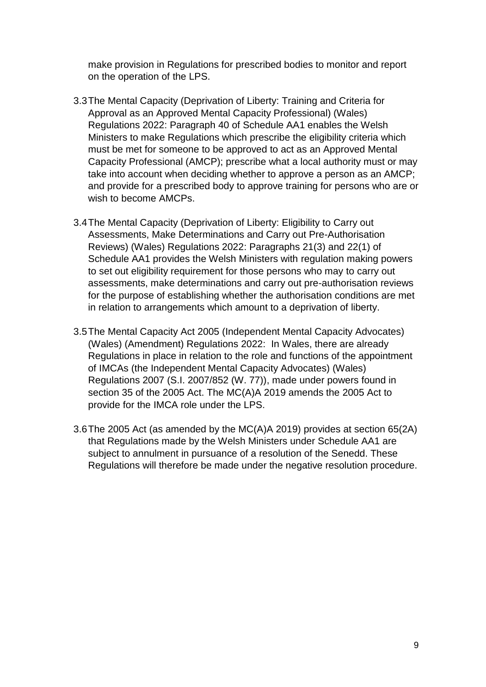make provision in Regulations for prescribed bodies to monitor and report on the operation of the LPS.

- 3.3The Mental Capacity (Deprivation of Liberty: Training and Criteria for Approval as an Approved Mental Capacity Professional) (Wales) Regulations 2022: Paragraph 40 of Schedule AA1 enables the Welsh Ministers to make Regulations which prescribe the eligibility criteria which must be met for someone to be approved to act as an Approved Mental Capacity Professional (AMCP); prescribe what a local authority must or may take into account when deciding whether to approve a person as an AMCP; and provide for a prescribed body to approve training for persons who are or wish to become AMCPs.
- 3.4The Mental Capacity (Deprivation of Liberty: Eligibility to Carry out Assessments, Make Determinations and Carry out Pre-Authorisation Reviews) (Wales) Regulations 2022: Paragraphs 21(3) and 22(1) of Schedule AA1 provides the Welsh Ministers with regulation making powers to set out eligibility requirement for those persons who may to carry out assessments, make determinations and carry out pre-authorisation reviews for the purpose of establishing whether the authorisation conditions are met in relation to arrangements which amount to a deprivation of liberty.
- 3.5The Mental Capacity Act 2005 (Independent Mental Capacity Advocates) (Wales) (Amendment) Regulations 2022: In Wales, there are already Regulations in place in relation to the role and functions of the appointment of IMCAs (the Independent Mental Capacity Advocates) (Wales) Regulations 2007 (S.I. 2007/852 (W. 77)), made under powers found in section 35 of the 2005 Act. The MC(A)A 2019 amends the 2005 Act to provide for the IMCA role under the LPS.
- 3.6The 2005 Act (as amended by the MC(A)A 2019) provides at section 65(2A) that Regulations made by the Welsh Ministers under Schedule AA1 are subject to annulment in pursuance of a resolution of the Senedd. These Regulations will therefore be made under the negative resolution procedure.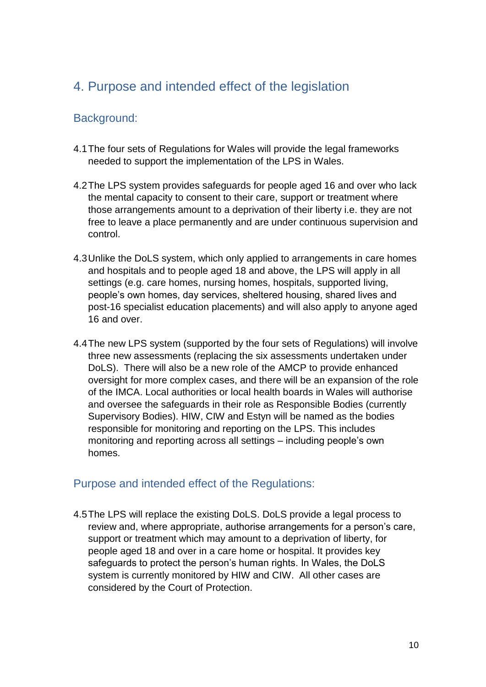# <span id="page-9-0"></span>4. Purpose and intended effect of the legislation

# <span id="page-9-1"></span>Background:

- 4.1The four sets of Regulations for Wales will provide the legal frameworks needed to support the implementation of the LPS in Wales.
- 4.2The LPS system provides safeguards for people aged 16 and over who lack the mental capacity to consent to their care, support or treatment where those arrangements amount to a deprivation of their liberty i.e. they are not free to leave a place permanently and are under continuous supervision and control.
- 4.3Unlike the DoLS system, which only applied to arrangements in care homes and hospitals and to people aged 18 and above, the LPS will apply in all settings (e.g. care homes, nursing homes, hospitals, supported living, people's own homes, day services, sheltered housing, shared lives and post-16 specialist education placements) and will also apply to anyone aged 16 and over.
- 4.4The new LPS system (supported by the four sets of Regulations) will involve three new assessments (replacing the six assessments undertaken under DoLS). There will also be a new role of the AMCP to provide enhanced oversight for more complex cases, and there will be an expansion of the role of the IMCA. Local authorities or local health boards in Wales will authorise and oversee the safeguards in their role as Responsible Bodies (currently Supervisory Bodies). HIW, CIW and Estyn will be named as the bodies responsible for monitoring and reporting on the LPS. This includes monitoring and reporting across all settings – including people's own homes.

## <span id="page-9-2"></span>Purpose and intended effect of the Regulations:

4.5The LPS will replace the existing DoLS. DoLS provide a legal process to review and, where appropriate, authorise arrangements for a person's care, support or treatment which may amount to a deprivation of liberty, for people aged 18 and over in a care home or hospital. It provides key safeguards to protect the person's human rights. In Wales, the DoLS system is currently monitored by HIW and CIW. All other cases are considered by the Court of Protection.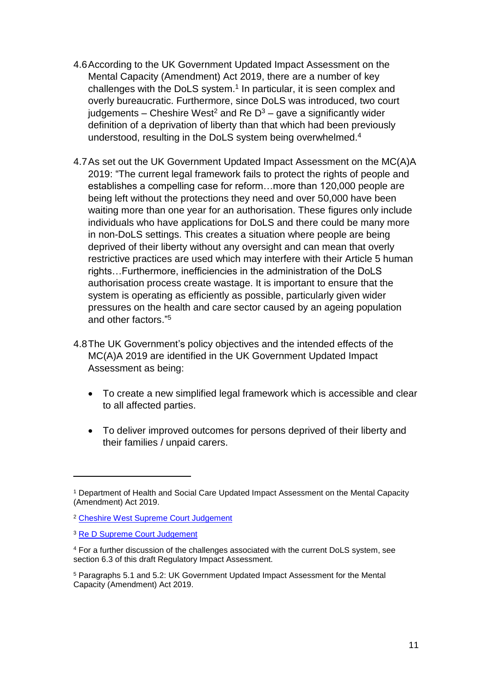- 4.6According to the UK Government Updated Impact Assessment on the Mental Capacity (Amendment) Act 2019, there are a number of key challenges with the DoLS system.<sup>1</sup> In particular, it is seen complex and overly bureaucratic. Furthermore, since DoLS was introduced, two court iudgements – Cheshire West<sup>2</sup> and Re  $D^3$  – gave a significantly wider definition of a deprivation of liberty than that which had been previously understood, resulting in the DoLS system being overwhelmed.<sup>4</sup>
- 4.7As set out the UK Government Updated Impact Assessment on the MC(A)A 2019: "The current legal framework fails to protect the rights of people and establishes a compelling case for reform…more than 120,000 people are being left without the protections they need and over 50,000 have been waiting more than one year for an authorisation. These figures only include individuals who have applications for DoLS and there could be many more in non-DoLS settings. This creates a situation where people are being deprived of their liberty without any oversight and can mean that overly restrictive practices are used which may interfere with their Article 5 human rights…Furthermore, inefficiencies in the administration of the DoLS authorisation process create wastage. It is important to ensure that the system is operating as efficiently as possible, particularly given wider pressures on the health and care sector caused by an ageing population and other factors." 5
- 4.8The UK Government's policy objectives and the intended effects of the MC(A)A 2019 are identified in the UK Government Updated Impact Assessment as being:
	- To create a new simplified legal framework which is accessible and clear to all affected parties.
	- To deliver improved outcomes for persons deprived of their liberty and their families / unpaid carers.

1

<sup>1</sup> Department of Health and Social Care Updated Impact Assessment on the Mental Capacity (Amendment) Act 2019.

<sup>2</sup> [Cheshire West Supreme Court Judgement](https://www.supremecourt.uk/cases/docs/uksc-2012-0068-judgment.pdf)

<sup>3</sup> [Re D Supreme Court Judgement](https://www.supremecourt.uk/cases/docs/uksc-2018-0064-judgment.pdf)

<sup>4</sup> For a further discussion of the challenges associated with the current DoLS system, see section 6.3 of this draft Regulatory Impact Assessment.

<sup>5</sup> Paragraphs 5.1 and 5.2: UK Government Updated Impact Assessment for the Mental Capacity (Amendment) Act 2019.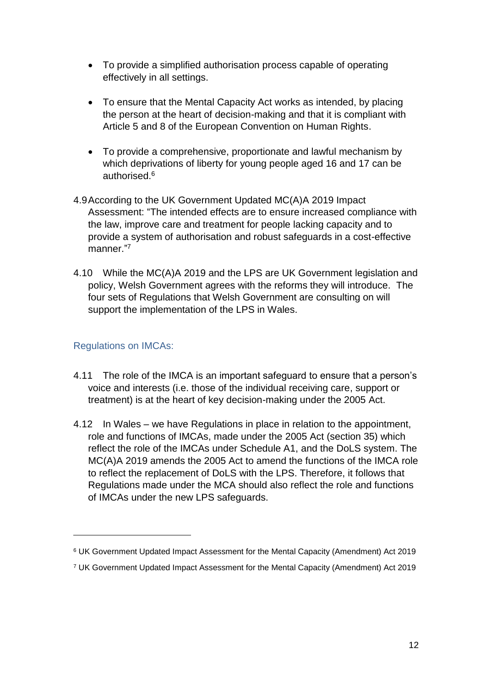- To provide a simplified authorisation process capable of operating effectively in all settings.
- To ensure that the Mental Capacity Act works as intended, by placing the person at the heart of decision-making and that it is compliant with Article 5 and 8 of the European Convention on Human Rights.
- To provide a comprehensive, proportionate and lawful mechanism by which deprivations of liberty for young people aged 16 and 17 can be authorised.<sup>6</sup>
- 4.9According to the UK Government Updated MC(A)A 2019 Impact Assessment: "The intended effects are to ensure increased compliance with the law, improve care and treatment for people lacking capacity and to provide a system of authorisation and robust safeguards in a cost-effective manner."7
- 4.10 While the MC(A)A 2019 and the LPS are UK Government legislation and policy, Welsh Government agrees with the reforms they will introduce. The four sets of Regulations that Welsh Government are consulting on will support the implementation of the LPS in Wales.

#### Regulations on IMCAs:

1

- 4.11 The role of the IMCA is an important safeguard to ensure that a person's voice and interests (i.e. those of the individual receiving care, support or treatment) is at the heart of key decision-making under the 2005 Act.
- 4.12 In Wales we have Regulations in place in relation to the appointment, role and functions of IMCAs, made under the 2005 Act (section 35) which reflect the role of the IMCAs under Schedule A1, and the DoLS system. The MC(A)A 2019 amends the 2005 Act to amend the functions of the IMCA role to reflect the replacement of DoLS with the LPS. Therefore, it follows that Regulations made under the MCA should also reflect the role and functions of IMCAs under the new LPS safeguards.

<sup>7</sup> UK Government Updated Impact Assessment for the Mental Capacity (Amendment) Act 2019

<sup>6</sup> UK Government Updated Impact Assessment for the Mental Capacity (Amendment) Act 2019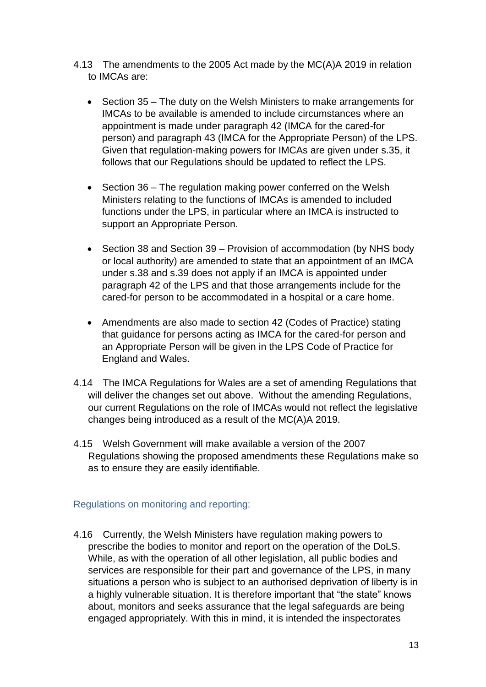- 4.13 The amendments to the 2005 Act made by the MC(A)A 2019 in relation to IMCAs are:
	- Section 35 The duty on the Welsh Ministers to make arrangements for IMCAs to be available is amended to include circumstances where an appointment is made under paragraph 42 (IMCA for the cared-for person) and paragraph 43 (IMCA for the Appropriate Person) of the LPS. Given that regulation-making powers for IMCAs are given under s.35, it follows that our Regulations should be updated to reflect the LPS.
	- Section 36 The regulation making power conferred on the Welsh Ministers relating to the functions of IMCAs is amended to included functions under the LPS, in particular where an IMCA is instructed to support an Appropriate Person.
	- Section 38 and Section 39 Provision of accommodation (by NHS body or local authority) are amended to state that an appointment of an IMCA under s.38 and s.39 does not apply if an IMCA is appointed under paragraph 42 of the LPS and that those arrangements include for the cared-for person to be accommodated in a hospital or a care home.
	- Amendments are also made to section 42 (Codes of Practice) stating that guidance for persons acting as IMCA for the cared-for person and an Appropriate Person will be given in the LPS Code of Practice for England and Wales.
- 4.14 The IMCA Regulations for Wales are a set of amending Regulations that will deliver the changes set out above. Without the amending Regulations, our current Regulations on the role of IMCAs would not reflect the legislative changes being introduced as a result of the MC(A)A 2019.
- 4.15 Welsh Government will make available a version of the 2007 Regulations showing the proposed amendments these Regulations make so as to ensure they are easily identifiable.

#### Regulations on monitoring and reporting:

4.16 Currently, the Welsh Ministers have regulation making powers to prescribe the bodies to monitor and report on the operation of the DoLS. While, as with the operation of all other legislation, all public bodies and services are responsible for their part and governance of the LPS, in many situations a person who is subject to an authorised deprivation of liberty is in a highly vulnerable situation. It is therefore important that "the state" knows about, monitors and seeks assurance that the legal safeguards are being engaged appropriately. With this in mind, it is intended the inspectorates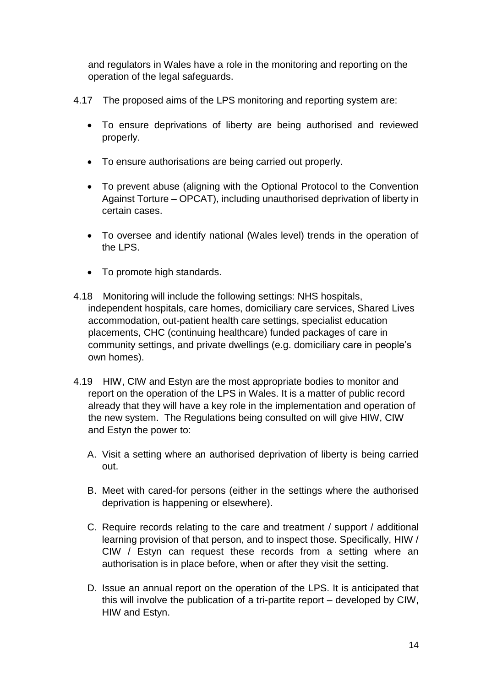and regulators in Wales have a role in the monitoring and reporting on the operation of the legal safeguards.

- 4.17 The proposed aims of the LPS monitoring and reporting system are:
	- To ensure deprivations of liberty are being authorised and reviewed properly.
	- To ensure authorisations are being carried out properly.
	- To prevent abuse (aligning with the Optional Protocol to the Convention Against Torture – OPCAT), including unauthorised deprivation of liberty in certain cases.
	- To oversee and identify national (Wales level) trends in the operation of the LPS.
	- To promote high standards.
- 4.18 Monitoring will include the following settings: NHS hospitals, independent hospitals, care homes, domiciliary care services, Shared Lives accommodation, out-patient health care settings, specialist education placements, CHC (continuing healthcare) funded packages of care in community settings, and private dwellings (e.g. domiciliary care in people's own homes).
- 4.19 HIW, CIW and Estyn are the most appropriate bodies to monitor and report on the operation of the LPS in Wales. It is a matter of public record already that they will have a key role in the implementation and operation of the new system. The Regulations being consulted on will give HIW, CIW and Estyn the power to:
	- A. Visit a setting where an authorised deprivation of liberty is being carried out.
	- B. Meet with cared-for persons (either in the settings where the authorised deprivation is happening or elsewhere).
	- C. Require records relating to the care and treatment / support / additional learning provision of that person, and to inspect those. Specifically, HIW / CIW / Estyn can request these records from a setting where an authorisation is in place before, when or after they visit the setting.
	- D. Issue an annual report on the operation of the LPS. It is anticipated that this will involve the publication of a tri-partite report – developed by CIW, HIW and Estyn.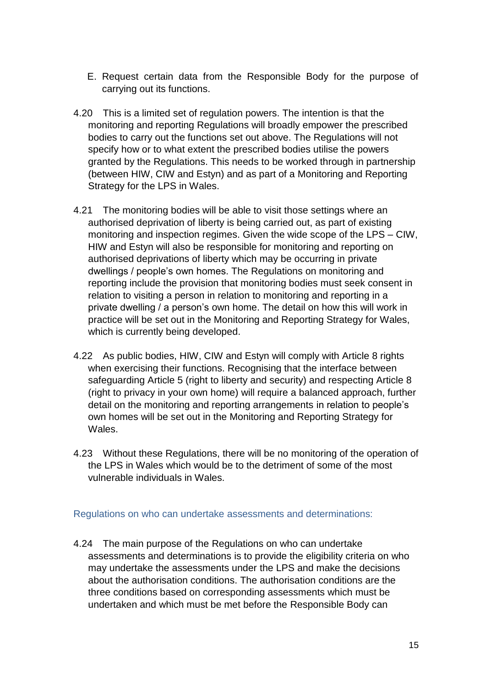- E. Request certain data from the Responsible Body for the purpose of carrying out its functions.
- 4.20 This is a limited set of regulation powers. The intention is that the monitoring and reporting Regulations will broadly empower the prescribed bodies to carry out the functions set out above. The Regulations will not specify how or to what extent the prescribed bodies utilise the powers granted by the Regulations. This needs to be worked through in partnership (between HIW, CIW and Estyn) and as part of a Monitoring and Reporting Strategy for the LPS in Wales.
- 4.21 The monitoring bodies will be able to visit those settings where an authorised deprivation of liberty is being carried out, as part of existing monitoring and inspection regimes. Given the wide scope of the LPS – CIW, HIW and Estyn will also be responsible for monitoring and reporting on authorised deprivations of liberty which may be occurring in private dwellings / people's own homes. The Regulations on monitoring and reporting include the provision that monitoring bodies must seek consent in relation to visiting a person in relation to monitoring and reporting in a private dwelling / a person's own home. The detail on how this will work in practice will be set out in the Monitoring and Reporting Strategy for Wales, which is currently being developed.
- 4.22 As public bodies, HIW, CIW and Estyn will comply with Article 8 rights when exercising their functions. Recognising that the interface between safeguarding Article 5 (right to liberty and security) and respecting Article 8 (right to privacy in your own home) will require a balanced approach, further detail on the monitoring and reporting arrangements in relation to people's own homes will be set out in the Monitoring and Reporting Strategy for Wales.
- 4.23 Without these Regulations, there will be no monitoring of the operation of the LPS in Wales which would be to the detriment of some of the most vulnerable individuals in Wales.

Regulations on who can undertake assessments and determinations:

4.24 The main purpose of the Regulations on who can undertake assessments and determinations is to provide the eligibility criteria on who may undertake the assessments under the LPS and make the decisions about the authorisation conditions. The authorisation conditions are the three conditions based on corresponding assessments which must be undertaken and which must be met before the Responsible Body can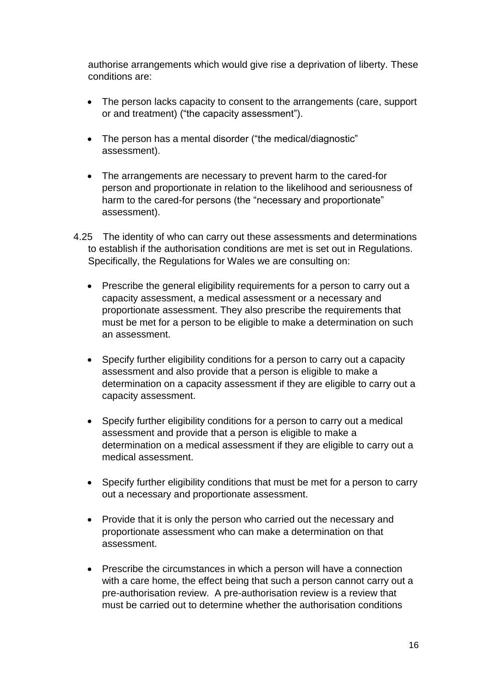authorise arrangements which would give rise a deprivation of liberty. These conditions are:

- The person lacks capacity to consent to the arrangements (care, support or and treatment) ("the capacity assessment").
- The person has a mental disorder ("the medical/diagnostic" assessment).
- The arrangements are necessary to prevent harm to the cared-for person and proportionate in relation to the likelihood and seriousness of harm to the cared-for persons (the "necessary and proportionate" assessment).
- 4.25 The identity of who can carry out these assessments and determinations to establish if the authorisation conditions are met is set out in Regulations. Specifically, the Regulations for Wales we are consulting on:
	- Prescribe the general eligibility requirements for a person to carry out a capacity assessment, a medical assessment or a necessary and proportionate assessment. They also prescribe the requirements that must be met for a person to be eligible to make a determination on such an assessment.
	- Specify further eligibility conditions for a person to carry out a capacity assessment and also provide that a person is eligible to make a determination on a capacity assessment if they are eligible to carry out a capacity assessment.
	- Specify further eligibility conditions for a person to carry out a medical assessment and provide that a person is eligible to make a determination on a medical assessment if they are eligible to carry out a medical assessment.
	- Specify further eligibility conditions that must be met for a person to carry out a necessary and proportionate assessment.
	- Provide that it is only the person who carried out the necessary and proportionate assessment who can make a determination on that assessment.
	- Prescribe the circumstances in which a person will have a connection with a care home, the effect being that such a person cannot carry out a pre-authorisation review. A pre-authorisation review is a review that must be carried out to determine whether the authorisation conditions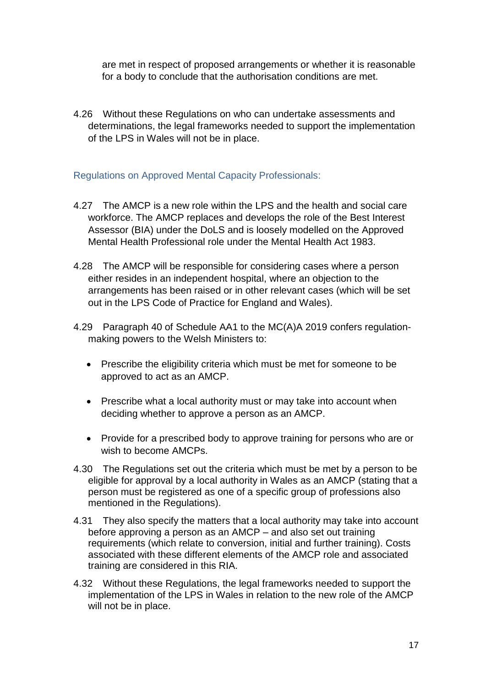are met in respect of proposed arrangements or whether it is reasonable for a body to conclude that the authorisation conditions are met.

4.26 Without these Regulations on who can undertake assessments and determinations, the legal frameworks needed to support the implementation of the LPS in Wales will not be in place.

#### Regulations on Approved Mental Capacity Professionals:

- 4.27 The AMCP is a new role within the LPS and the health and social care workforce. The AMCP replaces and develops the role of the Best Interest Assessor (BIA) under the DoLS and is loosely modelled on the Approved Mental Health Professional role under the Mental Health Act 1983.
- 4.28 The AMCP will be responsible for considering cases where a person either resides in an independent hospital, where an objection to the arrangements has been raised or in other relevant cases (which will be set out in the LPS Code of Practice for England and Wales).
- 4.29 Paragraph 40 of Schedule AA1 to the MC(A)A 2019 confers regulationmaking powers to the Welsh Ministers to:
	- Prescribe the eligibility criteria which must be met for someone to be approved to act as an AMCP.
	- Prescribe what a local authority must or may take into account when deciding whether to approve a person as an AMCP.
	- Provide for a prescribed body to approve training for persons who are or wish to become AMCPs.
- 4.30 The Regulations set out the criteria which must be met by a person to be eligible for approval by a local authority in Wales as an AMCP (stating that a person must be registered as one of a specific group of professions also mentioned in the Regulations).
- 4.31 They also specify the matters that a local authority may take into account before approving a person as an AMCP – and also set out training requirements (which relate to conversion, initial and further training). Costs associated with these different elements of the AMCP role and associated training are considered in this RIA.
- 4.32 Without these Regulations, the legal frameworks needed to support the implementation of the LPS in Wales in relation to the new role of the AMCP will not be in place.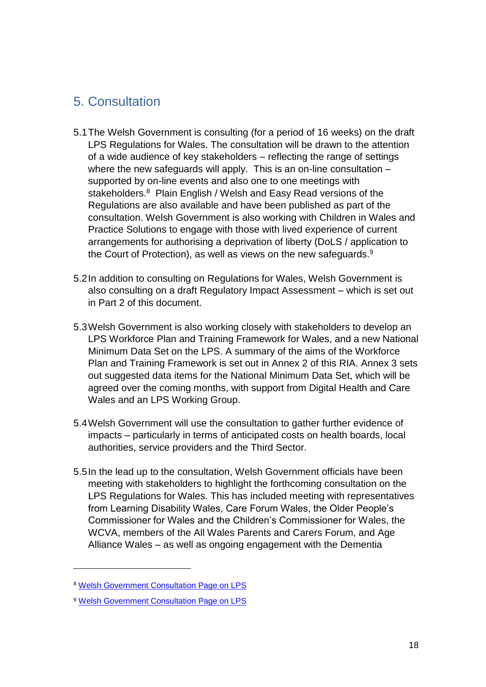# <span id="page-17-0"></span>5. Consultation

- 5.1The Welsh Government is consulting (for a period of 16 weeks) on the draft LPS Regulations for Wales. The consultation will be drawn to the attention of a wide audience of key stakeholders – reflecting the range of settings where the new safeguards will apply. This is an on-line consultation – supported by on-line events and also one to one meetings with stakeholders.<sup>8</sup> Plain English / Welsh and Easy Read versions of the Regulations are also available and have been published as part of the consultation. Welsh Government is also working with Children in Wales and Practice Solutions to engage with those with lived experience of current arrangements for authorising a deprivation of liberty (DoLS / application to the Court of Protection), as well as views on the new safeguards.<sup>9</sup>
- 5.2In addition to consulting on Regulations for Wales, Welsh Government is also consulting on a draft Regulatory Impact Assessment – which is set out in Part 2 of this document.
- 5.3Welsh Government is also working closely with stakeholders to develop an LPS Workforce Plan and Training Framework for Wales, and a new National Minimum Data Set on the LPS. A summary of the aims of the Workforce Plan and Training Framework is set out in Annex 2 of this RIA. Annex 3 sets out suggested data items for the National Minimum Data Set, which will be agreed over the coming months, with support from Digital Health and Care Wales and an LPS Working Group.
- 5.4Welsh Government will use the consultation to gather further evidence of impacts – particularly in terms of anticipated costs on health boards, local authorities, service providers and the Third Sector.
- 5.5In the lead up to the consultation, Welsh Government officials have been meeting with stakeholders to highlight the forthcoming consultation on the LPS Regulations for Wales. This has included meeting with representatives from Learning Disability Wales, Care Forum Wales, the Older People's Commissioner for Wales and the Children's Commissioner for Wales, the WCVA, members of the All Wales Parents and Carers Forum, and Age Alliance Wales – as well as ongoing engagement with the Dementia

1

<sup>8</sup> [Welsh Government Consultation Page on LPS](https://gov.wales/liberty-protection-safeguards)

<sup>9</sup> [Welsh Government Consultation Page on LPS](https://gov.wales/liberty-protection-safeguards)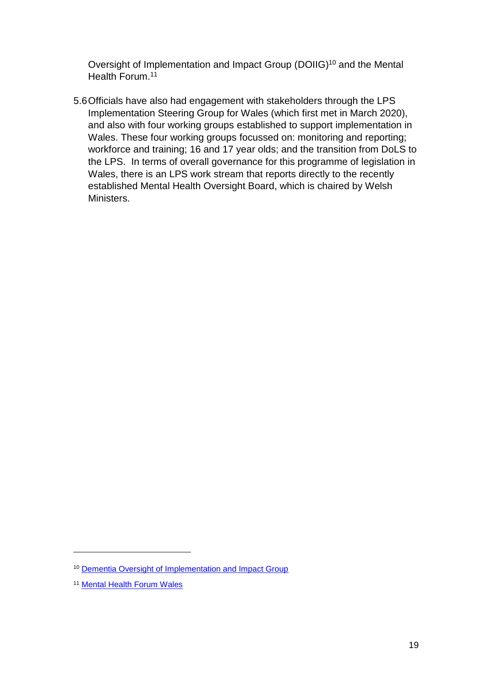Oversight of Implementation and Impact Group (DOIIG) <sup>10</sup> and the Mental Health Forum.<sup>11</sup>

5.6Officials have also had engagement with stakeholders through the LPS Implementation Steering Group for Wales (which first met in March 2020), and also with four working groups established to support implementation in Wales. These four working groups focussed on: monitoring and reporting; workforce and training; 16 and 17 year olds; and the transition from DoLS to the LPS. In terms of overall governance for this programme of legislation in Wales, there is an LPS work stream that reports directly to the recently established Mental Health Oversight Board, which is chaired by Welsh Ministers.

1

<sup>10</sup> [Dementia Oversight of Implementation and Impact Group](https://gov.wales/dementia-oversight-implementation-and-impact-group)

<sup>11</sup> [Mental Health Forum Wales](https://www.practicesolutions-ltd.co.uk/en/page/mental-health-forum)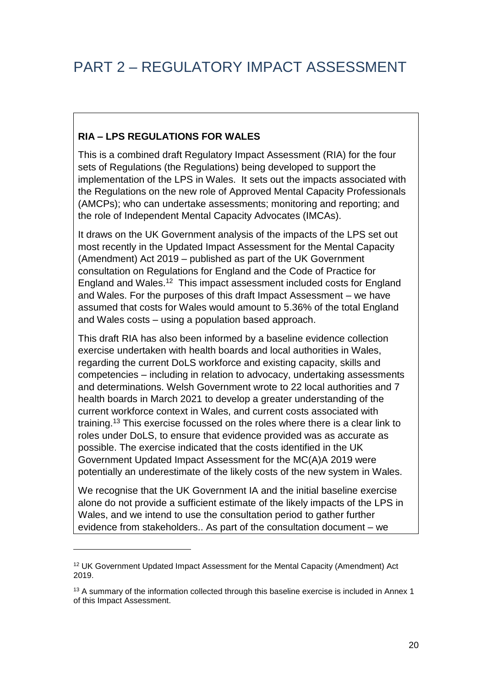## <span id="page-19-0"></span>**RIA – LPS REGULATIONS FOR WALES**

This is a combined draft Regulatory Impact Assessment (RIA) for the four sets of Regulations (the Regulations) being developed to support the implementation of the LPS in Wales. It sets out the impacts associated with the Regulations on the new role of Approved Mental Capacity Professionals (AMCPs); who can undertake assessments; monitoring and reporting; and the role of Independent Mental Capacity Advocates (IMCAs).

It draws on the UK Government analysis of the impacts of the LPS set out most recently in the Updated Impact Assessment for the Mental Capacity (Amendment) Act 2019 – published as part of the UK Government consultation on Regulations for England and the Code of Practice for England and Wales.<sup>12</sup> This impact assessment included costs for England and Wales. For the purposes of this draft Impact Assessment – we have assumed that costs for Wales would amount to 5.36% of the total England and Wales costs – using a population based approach.

This draft RIA has also been informed by a baseline evidence collection exercise undertaken with health boards and local authorities in Wales, regarding the current DoLS workforce and existing capacity, skills and competencies – including in relation to advocacy, undertaking assessments and determinations. Welsh Government wrote to 22 local authorities and 7 health boards in March 2021 to develop a greater understanding of the current workforce context in Wales, and current costs associated with training.<sup>13</sup> This exercise focussed on the roles where there is a clear link to roles under DoLS, to ensure that evidence provided was as accurate as possible. The exercise indicated that the costs identified in the UK Government Updated Impact Assessment for the MC(A)A 2019 were potentially an underestimate of the likely costs of the new system in Wales.

We recognise that the UK Government IA and the initial baseline exercise alone do not provide a sufficient estimate of the likely impacts of the LPS in Wales, and we intend to use the consultation period to gather further evidence from stakeholders.. As part of the consultation document – we

**.** 

<sup>&</sup>lt;sup>12</sup> UK Government Updated Impact Assessment for the Mental Capacity (Amendment) Act 2019.

<sup>&</sup>lt;sup>13</sup> A summary of the information collected through this baseline exercise is included in Annex 1 of this Impact Assessment.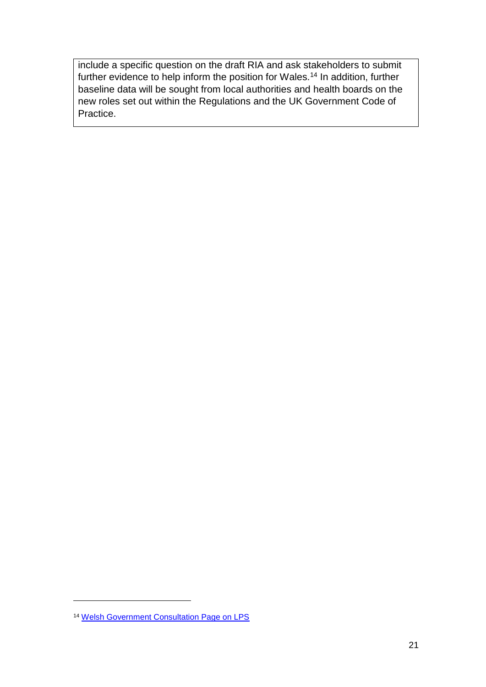include a specific question on the draft RIA and ask stakeholders to submit further evidence to help inform the position for Wales.<sup>14</sup> In addition, further baseline data will be sought from local authorities and health boards on the new roles set out within the Regulations and the UK Government Code of Practice.

1

<sup>14</sup> [Welsh Government Consultation Page on LPS](https://gov.wales/liberty-protection-safeguards)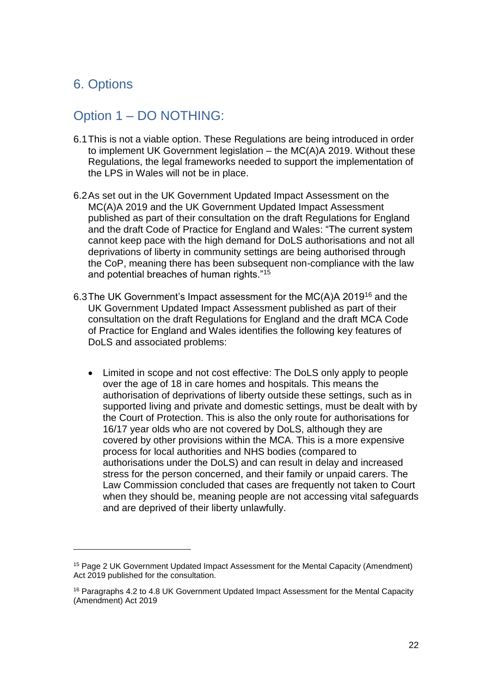# <span id="page-21-0"></span>6. Options

**.** 

# <span id="page-21-1"></span>Option 1 – DO NOTHING:

- 6.1This is not a viable option. These Regulations are being introduced in order to implement UK Government legislation – the MC(A)A 2019. Without these Regulations, the legal frameworks needed to support the implementation of the LPS in Wales will not be in place.
- 6.2As set out in the UK Government Updated Impact Assessment on the MC(A)A 2019 and the UK Government Updated Impact Assessment published as part of their consultation on the draft Regulations for England and the draft Code of Practice for England and Wales: "The current system cannot keep pace with the high demand for DoLS authorisations and not all deprivations of liberty in community settings are being authorised through the CoP, meaning there has been subsequent non-compliance with the law and potential breaches of human rights."<sup>15</sup>
- 6.3The UK Government's Impact assessment for the MC(A)A 2019<sup>16</sup> and the UK Government Updated Impact Assessment published as part of their consultation on the draft Regulations for England and the draft MCA Code of Practice for England and Wales identifies the following key features of DoLS and associated problems:
	- Limited in scope and not cost effective: The DoLS only apply to people over the age of 18 in care homes and hospitals. This means the authorisation of deprivations of liberty outside these settings, such as in supported living and private and domestic settings, must be dealt with by the Court of Protection. This is also the only route for authorisations for 16/17 year olds who are not covered by DoLS, although they are covered by other provisions within the MCA. This is a more expensive process for local authorities and NHS bodies (compared to authorisations under the DoLS) and can result in delay and increased stress for the person concerned, and their family or unpaid carers. The Law Commission concluded that cases are frequently not taken to Court when they should be, meaning people are not accessing vital safeguards and are deprived of their liberty unlawfully.

<sup>15</sup> Page 2 UK Government Updated Impact Assessment for the Mental Capacity (Amendment) Act 2019 published for the consultation.

<sup>&</sup>lt;sup>16</sup> Paragraphs 4.2 to 4.8 UK Government Updated Impact Assessment for the Mental Capacity (Amendment) Act 2019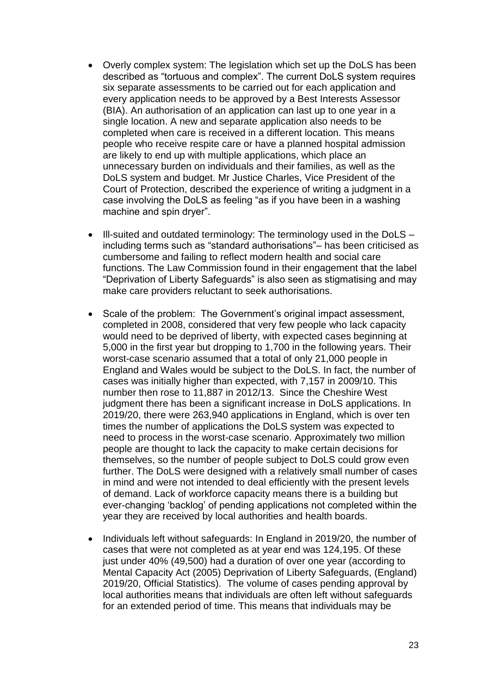- Overly complex system: The legislation which set up the DoLS has been described as "tortuous and complex". The current DoLS system requires six separate assessments to be carried out for each application and every application needs to be approved by a Best Interests Assessor (BIA). An authorisation of an application can last up to one year in a single location. A new and separate application also needs to be completed when care is received in a different location. This means people who receive respite care or have a planned hospital admission are likely to end up with multiple applications, which place an unnecessary burden on individuals and their families, as well as the DoLS system and budget. Mr Justice Charles, Vice President of the Court of Protection, described the experience of writing a judgment in a case involving the DoLS as feeling "as if you have been in a washing machine and spin dryer".
- Ill-suited and outdated terminology: The terminology used in the DoLS including terms such as "standard authorisations"– has been criticised as cumbersome and failing to reflect modern health and social care functions. The Law Commission found in their engagement that the label "Deprivation of Liberty Safeguards" is also seen as stigmatising and may make care providers reluctant to seek authorisations.
- Scale of the problem: The Government's original impact assessment, completed in 2008, considered that very few people who lack capacity would need to be deprived of liberty, with expected cases beginning at 5,000 in the first year but dropping to 1,700 in the following years. Their worst-case scenario assumed that a total of only 21,000 people in England and Wales would be subject to the DoLS. In fact, the number of cases was initially higher than expected, with 7,157 in 2009/10. This number then rose to 11,887 in 2012/13. Since the Cheshire West judgment there has been a significant increase in DoLS applications. In 2019/20, there were 263,940 applications in England, which is over ten times the number of applications the DoLS system was expected to need to process in the worst-case scenario. Approximately two million people are thought to lack the capacity to make certain decisions for themselves, so the number of people subject to DoLS could grow even further. The DoLS were designed with a relatively small number of cases in mind and were not intended to deal efficiently with the present levels of demand. Lack of workforce capacity means there is a building but ever-changing 'backlog' of pending applications not completed within the year they are received by local authorities and health boards.
- Individuals left without safeguards: In England in 2019/20, the number of cases that were not completed as at year end was 124,195. Of these just under 40% (49,500) had a duration of over one year (according to Mental Capacity Act (2005) Deprivation of Liberty Safeguards, (England) 2019/20, Official Statistics). The volume of cases pending approval by local authorities means that individuals are often left without safeguards for an extended period of time. This means that individuals may be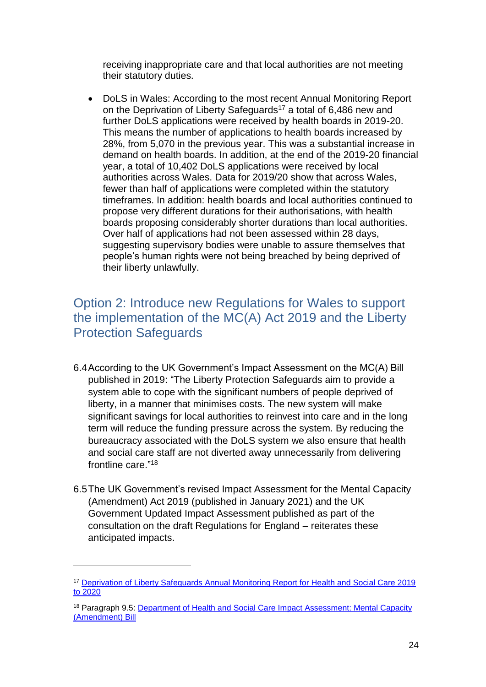receiving inappropriate care and that local authorities are not meeting their statutory duties.

• DoLS in Wales: According to the most recent Annual Monitoring Report on the Deprivation of Liberty Safeguards<sup>17</sup> a total of 6,486 new and further DoLS applications were received by health boards in 2019-20. This means the number of applications to health boards increased by 28%, from 5,070 in the previous year. This was a substantial increase in demand on health boards. In addition, at the end of the 2019-20 financial year, a total of 10,402 DoLS applications were received by local authorities across Wales. Data for 2019/20 show that across Wales, fewer than half of applications were completed within the statutory timeframes. In addition: health boards and local authorities continued to propose very different durations for their authorisations, with health boards proposing considerably shorter durations than local authorities. Over half of applications had not been assessed within 28 days, suggesting supervisory bodies were unable to assure themselves that people's human rights were not being breached by being deprived of their liberty unlawfully.

# <span id="page-23-0"></span>Option 2: Introduce new Regulations for Wales to support the implementation of the MC(A) Act 2019 and the Liberty Protection Safeguards

- 6.4According to the UK Government's Impact Assessment on the MC(A) Bill published in 2019: "The Liberty Protection Safeguards aim to provide a system able to cope with the significant numbers of people deprived of liberty, in a manner that minimises costs. The new system will make significant savings for local authorities to reinvest into care and in the long term will reduce the funding pressure across the system. By reducing the bureaucracy associated with the DoLS system we also ensure that health and social care staff are not diverted away unnecessarily from delivering frontline care." 18
- 6.5The UK Government's revised Impact Assessment for the Mental Capacity (Amendment) Act 2019 (published in January 2021) and the UK Government Updated Impact Assessment published as part of the consultation on the draft Regulations for England – reiterates these anticipated impacts.

**.** 

<sup>&</sup>lt;sup>17</sup> Deprivation of Liberty Safeguards Annual Monitoring Report for Health and Social Care 2019 [to 2020](https://hiw.org.uk/sites/default/files/2021-03/210324dols2019-20en.pdf)

<sup>&</sup>lt;sup>18</sup> Paragraph 9.5: Department of Health and Social Care Impact Assessment: Mental Capacity [\(Amendment\) Bill](https://publications.parliament.uk/pa/bills/cbill/2017-2019/0323/MCAB%20Impact%20Assessment%20FINAL.rtf%20SIGNED.pdf)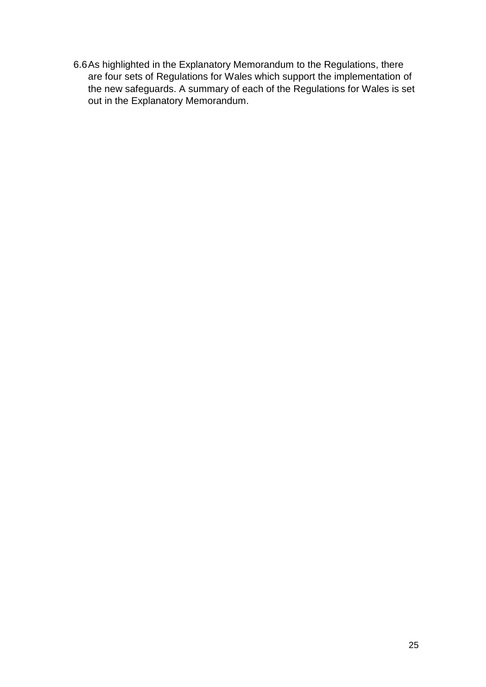6.6As highlighted in the Explanatory Memorandum to the Regulations, there are four sets of Regulations for Wales which support the implementation of the new safeguards. A summary of each of the Regulations for Wales is set out in the Explanatory Memorandum.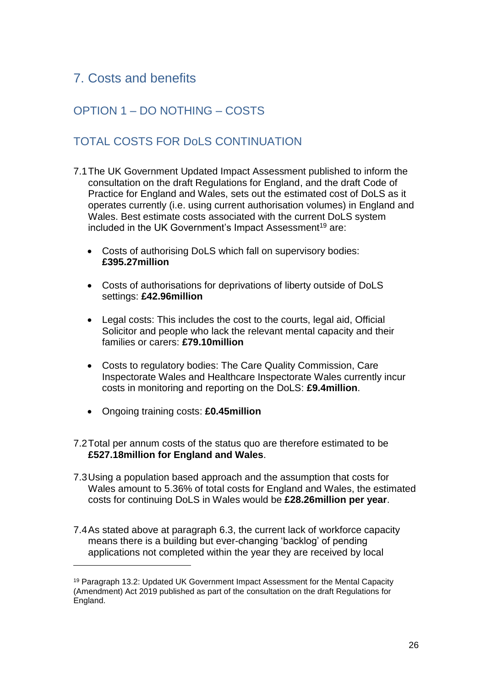# <span id="page-25-0"></span>7. Costs and benefits

# <span id="page-25-1"></span>OPTION 1 – DO NOTHING – COSTS

# <span id="page-25-2"></span>TOTAL COSTS FOR DoLS CONTINUATION

- 7.1The UK Government Updated Impact Assessment published to inform the consultation on the draft Regulations for England, and the draft Code of Practice for England and Wales, sets out the estimated cost of DoLS as it operates currently (i.e. using current authorisation volumes) in England and Wales. Best estimate costs associated with the current DoLS system included in the UK Government's Impact Assessment<sup>19</sup> are:
	- Costs of authorising DoLS which fall on supervisory bodies: **£395.27million**
	- Costs of authorisations for deprivations of liberty outside of DoLS settings: **£42.96million**
	- Legal costs: This includes the cost to the courts, legal aid, Official Solicitor and people who lack the relevant mental capacity and their families or carers: **£79.10million**
	- Costs to regulatory bodies: The Care Quality Commission, Care Inspectorate Wales and Healthcare Inspectorate Wales currently incur costs in monitoring and reporting on the DoLS: **£9.4million**.
	- Ongoing training costs: **£0.45million**

**.** 

- 7.2Total per annum costs of the status quo are therefore estimated to be **£527.18million for England and Wales**.
- 7.3Using a population based approach and the assumption that costs for Wales amount to 5.36% of total costs for England and Wales, the estimated costs for continuing DoLS in Wales would be **£28.26million per year**.
- 7.4As stated above at paragraph 6.3, the current lack of workforce capacity means there is a building but ever-changing 'backlog' of pending applications not completed within the year they are received by local

<sup>19</sup> Paragraph 13.2: Updated UK Government Impact Assessment for the Mental Capacity (Amendment) Act 2019 published as part of the consultation on the draft Regulations for England.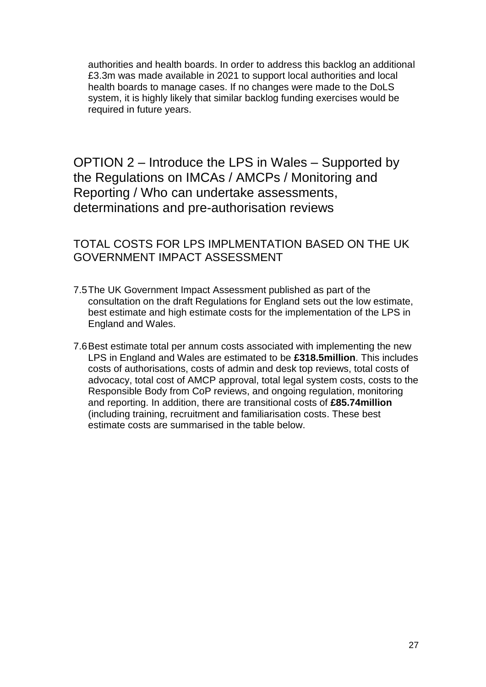authorities and health boards. In order to address this backlog an additional £3.3m was made available in 2021 to support local authorities and local health boards to manage cases. If no changes were made to the DoLS system, it is highly likely that similar backlog funding exercises would be required in future years.

<span id="page-26-0"></span>OPTION 2 – Introduce the LPS in Wales – Supported by the Regulations on IMCAs / AMCPs / Monitoring and Reporting / Who can undertake assessments, determinations and pre-authorisation reviews

# <span id="page-26-1"></span>TOTAL COSTS FOR LPS IMPLMENTATION BASED ON THE UK GOVERNMENT IMPACT ASSESSMENT

- 7.5The UK Government Impact Assessment published as part of the consultation on the draft Regulations for England sets out the low estimate, best estimate and high estimate costs for the implementation of the LPS in England and Wales.
- 7.6Best estimate total per annum costs associated with implementing the new LPS in England and Wales are estimated to be **£318.5million**. This includes costs of authorisations, costs of admin and desk top reviews, total costs of advocacy, total cost of AMCP approval, total legal system costs, costs to the Responsible Body from CoP reviews, and ongoing regulation, monitoring and reporting. In addition, there are transitional costs of **£85.74million** (including training, recruitment and familiarisation costs. These best estimate costs are summarised in the table below.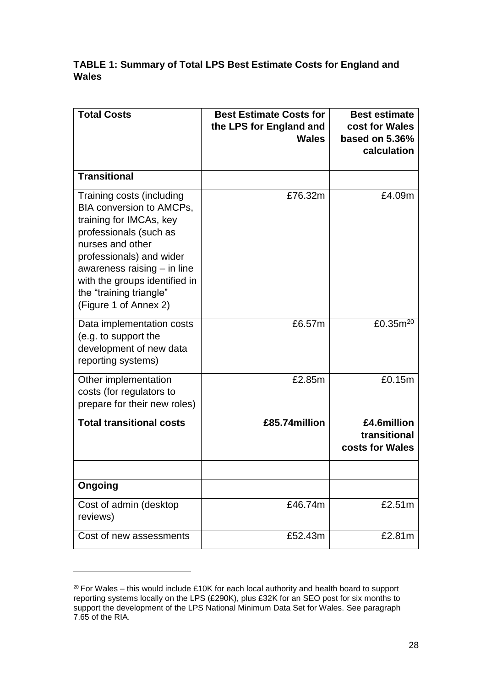#### **TABLE 1: Summary of Total LPS Best Estimate Costs for England and Wales**

| <b>Total Costs</b>                                                                                                                                                                                                                                                                      | <b>Best Estimate Costs for</b><br>the LPS for England and<br>Wales | <b>Best estimate</b><br>cost for Wales<br>based on 5.36%<br>calculation |
|-----------------------------------------------------------------------------------------------------------------------------------------------------------------------------------------------------------------------------------------------------------------------------------------|--------------------------------------------------------------------|-------------------------------------------------------------------------|
| <b>Transitional</b>                                                                                                                                                                                                                                                                     |                                                                    |                                                                         |
| Training costs (including<br><b>BIA conversion to AMCPs,</b><br>training for IMCAs, key<br>professionals (such as<br>nurses and other<br>professionals) and wider<br>awareness raising $-$ in line<br>with the groups identified in<br>the "training triangle"<br>(Figure 1 of Annex 2) | £76.32m                                                            | £4.09m                                                                  |
| Data implementation costs<br>(e.g. to support the<br>development of new data<br>reporting systems)                                                                                                                                                                                      | £6.57m                                                             | £0.35 $m^{20}$                                                          |
| Other implementation<br>costs (for regulators to<br>prepare for their new roles)                                                                                                                                                                                                        | £2.85m                                                             | £0.15m                                                                  |
| <b>Total transitional costs</b>                                                                                                                                                                                                                                                         | $£85.74$ million                                                   | £4.6million<br>transitional<br>costs for Wales                          |
|                                                                                                                                                                                                                                                                                         |                                                                    |                                                                         |
| Ongoing                                                                                                                                                                                                                                                                                 |                                                                    |                                                                         |
| Cost of admin (desktop<br>reviews)                                                                                                                                                                                                                                                      | £46.74m                                                            | £2.51m                                                                  |
| Cost of new assessments                                                                                                                                                                                                                                                                 | £52.43m                                                            | £2.81m                                                                  |

 $20$  For Wales – this would include £10K for each local authority and health board to support reporting systems locally on the LPS (£290K), plus £32K for an SEO post for six months to support the development of the LPS National Minimum Data Set for Wales. See paragraph 7.65 of the RIA.

1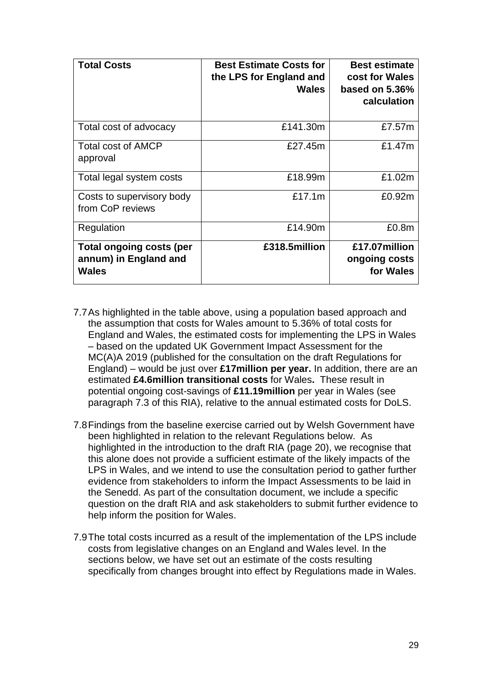| <b>Total Costs</b>                                                | <b>Best Estimate Costs for</b><br>the LPS for England and<br><b>Wales</b> | <b>Best estimate</b><br>cost for Wales<br>based on $5.36\%$<br>calculation |
|-------------------------------------------------------------------|---------------------------------------------------------------------------|----------------------------------------------------------------------------|
| Total cost of advocacy                                            | £141.30m                                                                  | £7.57m                                                                     |
| <b>Total cost of AMCP</b><br>approval                             | £27.45m                                                                   | £1.47m                                                                     |
| Total legal system costs                                          | £18.99m                                                                   | £1.02m                                                                     |
| Costs to supervisory body<br>from CoP reviews                     | £17.1m                                                                    | £0.92m                                                                     |
| Regulation                                                        | £14.90m                                                                   | £0.8m                                                                      |
| <b>Total ongoing costs (per</b><br>annum) in England and<br>Wales | £318.5million                                                             | £17.07million<br>ongoing costs<br>for Wales                                |

- 7.7As highlighted in the table above, using a population based approach and the assumption that costs for Wales amount to 5.36% of total costs for England and Wales, the estimated costs for implementing the LPS in Wales – based on the updated UK Government Impact Assessment for the MC(A)A 2019 (published for the consultation on the draft Regulations for England) – would be just over **£17million per year.** In addition, there are an estimated **£4.6million transitional costs** for Wales**.** These result in potential ongoing cost-savings of **£11.19million** per year in Wales (see paragraph 7.3 of this RIA), relative to the annual estimated costs for DoLS.
- 7.8Findings from the baseline exercise carried out by Welsh Government have been highlighted in relation to the relevant Regulations below. As highlighted in the introduction to the draft RIA (page 20), we recognise that this alone does not provide a sufficient estimate of the likely impacts of the LPS in Wales, and we intend to use the consultation period to gather further evidence from stakeholders to inform the Impact Assessments to be laid in the Senedd. As part of the consultation document, we include a specific question on the draft RIA and ask stakeholders to submit further evidence to help inform the position for Wales.
- 7.9The total costs incurred as a result of the implementation of the LPS include costs from legislative changes on an England and Wales level. In the sections below, we have set out an estimate of the costs resulting specifically from changes brought into effect by Regulations made in Wales.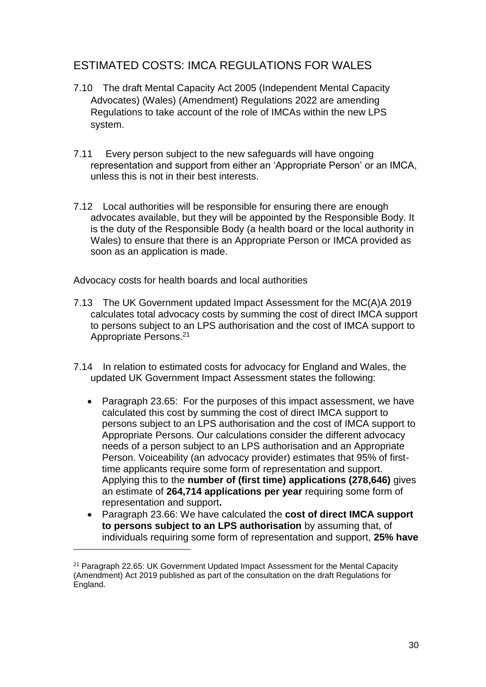# <span id="page-29-0"></span>ESTIMATED COSTS: IMCA REGULATIONS FOR WALES

- 7.10 The draft Mental Capacity Act 2005 (Independent Mental Capacity Advocates) (Wales) (Amendment) Regulations 2022 are amending Regulations to take account of the role of IMCAs within the new LPS system.
- 7.11 Every person subject to the new safeguards will have ongoing representation and support from either an 'Appropriate Person' or an IMCA, unless this is not in their best interests.
- 7.12 Local authorities will be responsible for ensuring there are enough advocates available, but they will be appointed by the Responsible Body. It is the duty of the Responsible Body (a health board or the local authority in Wales) to ensure that there is an Appropriate Person or IMCA provided as soon as an application is made.

Advocacy costs for health boards and local authorities

- 7.13 The UK Government updated Impact Assessment for the MC(A)A 2019 calculates total advocacy costs by summing the cost of direct IMCA support to persons subject to an LPS authorisation and the cost of IMCA support to Appropriate Persons.<sup>21</sup>
- 7.14 In relation to estimated costs for advocacy for England and Wales, the updated UK Government Impact Assessment states the following:
	- Paragraph 23.65: For the purposes of this impact assessment, we have calculated this cost by summing the cost of direct IMCA support to persons subject to an LPS authorisation and the cost of IMCA support to Appropriate Persons. Our calculations consider the different advocacy needs of a person subject to an LPS authorisation and an Appropriate Person. Voiceability (an advocacy provider) estimates that 95% of firsttime applicants require some form of representation and support. Applying this to the **number of (first time) applications (278,646)** gives an estimate of **264,714 applications per year** requiring some form of representation and support**.**
	- Paragraph 23.66: We have calculated the **cost of direct IMCA support to persons subject to an LPS authorisation** by assuming that, of individuals requiring some form of representation and support, **25% have**

**.** 

<sup>21</sup> Paragraph 22.65: UK Government Updated Impact Assessment for the Mental Capacity (Amendment) Act 2019 published as part of the consultation on the draft Regulations for England.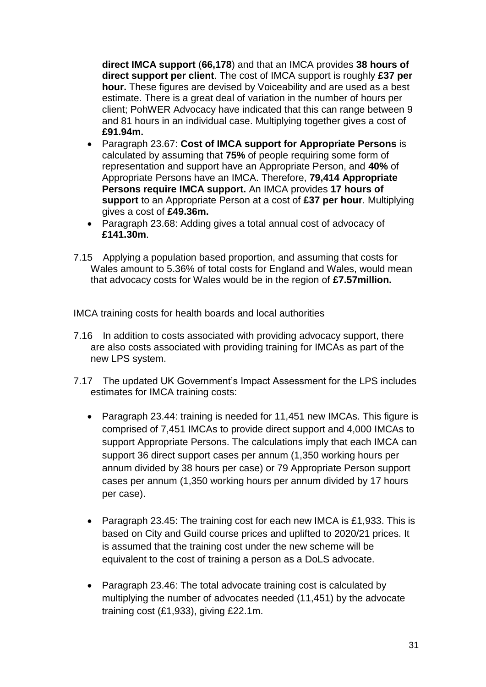**direct IMCA support** (**66,178**) and that an IMCA provides **38 hours of direct support per client**. The cost of IMCA support is roughly **£37 per hour.** These figures are devised by Voiceability and are used as a best estimate. There is a great deal of variation in the number of hours per client; PohWER Advocacy have indicated that this can range between 9 and 81 hours in an individual case. Multiplying together gives a cost of **£91.94m.**

- Paragraph 23.67: **Cost of IMCA support for Appropriate Persons** is calculated by assuming that **75%** of people requiring some form of representation and support have an Appropriate Person, and **40%** of Appropriate Persons have an IMCA. Therefore, **79,414 Appropriate Persons require IMCA support.** An IMCA provides **17 hours of support** to an Appropriate Person at a cost of **£37 per hour**. Multiplying gives a cost of **£49.36m.**
- Paragraph 23.68: Adding gives a total annual cost of advocacy of **£141.30m**.
- 7.15 Applying a population based proportion, and assuming that costs for Wales amount to 5.36% of total costs for England and Wales, would mean that advocacy costs for Wales would be in the region of **£7.57million.**

IMCA training costs for health boards and local authorities

- 7.16 In addition to costs associated with providing advocacy support, there are also costs associated with providing training for IMCAs as part of the new LPS system.
- 7.17 The updated UK Government's Impact Assessment for the LPS includes estimates for IMCA training costs:
	- Paragraph 23.44: training is needed for 11,451 new IMCAs. This figure is comprised of 7,451 IMCAs to provide direct support and 4,000 IMCAs to support Appropriate Persons. The calculations imply that each IMCA can support 36 direct support cases per annum (1,350 working hours per annum divided by 38 hours per case) or 79 Appropriate Person support cases per annum (1,350 working hours per annum divided by 17 hours per case).
	- Paragraph 23.45: The training cost for each new IMCA is £1,933. This is based on City and Guild course prices and uplifted to 2020/21 prices. It is assumed that the training cost under the new scheme will be equivalent to the cost of training a person as a DoLS advocate.
	- Paragraph 23.46: The total advocate training cost is calculated by multiplying the number of advocates needed (11,451) by the advocate training cost (£1,933), giving £22.1m.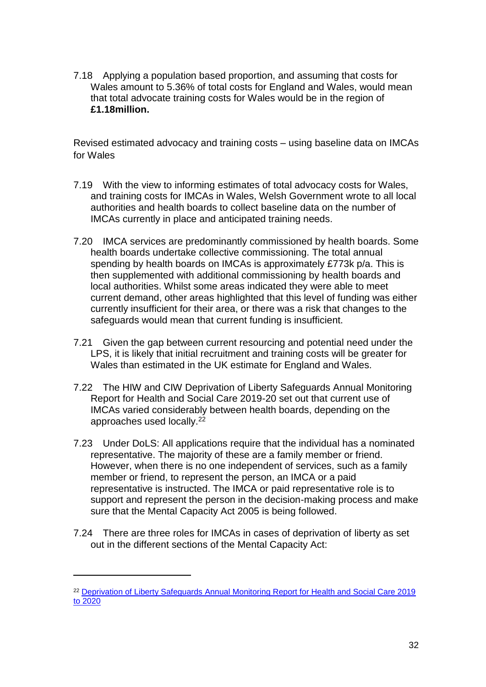7.18 Applying a population based proportion, and assuming that costs for Wales amount to 5.36% of total costs for England and Wales, would mean that total advocate training costs for Wales would be in the region of **£1.18million.**

Revised estimated advocacy and training costs – using baseline data on IMCAs for Wales

- 7.19 With the view to informing estimates of total advocacy costs for Wales, and training costs for IMCAs in Wales, Welsh Government wrote to all local authorities and health boards to collect baseline data on the number of IMCAs currently in place and anticipated training needs.
- 7.20 IMCA services are predominantly commissioned by health boards. Some health boards undertake collective commissioning. The total annual spending by health boards on IMCAs is approximately £773k p/a. This is then supplemented with additional commissioning by health boards and local authorities. Whilst some areas indicated they were able to meet current demand, other areas highlighted that this level of funding was either currently insufficient for their area, or there was a risk that changes to the safeguards would mean that current funding is insufficient.
- 7.21 Given the gap between current resourcing and potential need under the LPS, it is likely that initial recruitment and training costs will be greater for Wales than estimated in the UK estimate for England and Wales.
- 7.22 The HIW and CIW Deprivation of Liberty Safeguards Annual Monitoring Report for Health and Social Care 2019-20 set out that current use of IMCAs varied considerably between health boards, depending on the approaches used locally.<sup>22</sup>
- 7.23 Under DoLS: All applications require that the individual has a nominated representative. The majority of these are a family member or friend. However, when there is no one independent of services, such as a family member or friend, to represent the person, an IMCA or a paid representative is instructed. The IMCA or paid representative role is to support and represent the person in the decision-making process and make sure that the Mental Capacity Act 2005 is being followed.
- 7.24 There are three roles for IMCAs in cases of deprivation of liberty as set out in the different sections of the Mental Capacity Act:

**.** 

<sup>&</sup>lt;sup>22</sup> Deprivation of Liberty Safeguards Annual Monitoring Report for Health and Social Care 2019 [to 2020](https://hiw.org.uk/sites/default/files/2021-03/210324dols2019-20en.pdf)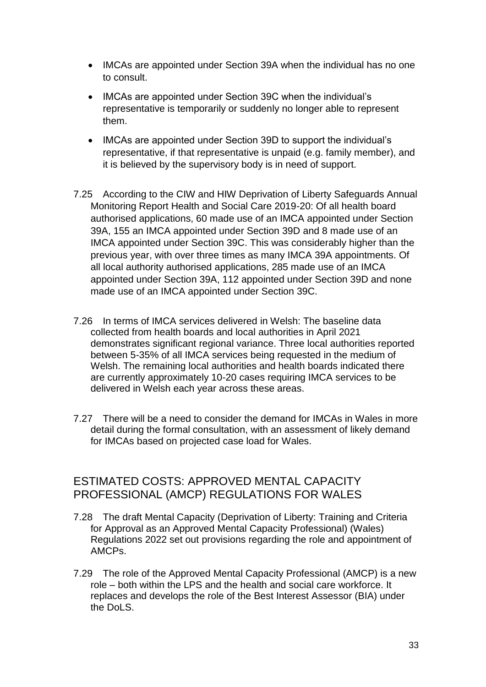- IMCAs are appointed under Section 39A when the individual has no one to consult.
- IMCAs are appointed under Section 39C when the individual's representative is temporarily or suddenly no longer able to represent them.
- IMCAs are appointed under Section 39D to support the individual's representative, if that representative is unpaid (e.g. family member), and it is believed by the supervisory body is in need of support.
- 7.25 According to the CIW and HIW Deprivation of Liberty Safeguards Annual Monitoring Report Health and Social Care 2019-20: Of all health board authorised applications, 60 made use of an IMCA appointed under Section 39A, 155 an IMCA appointed under Section 39D and 8 made use of an IMCA appointed under Section 39C. This was considerably higher than the previous year, with over three times as many IMCA 39A appointments. Of all local authority authorised applications, 285 made use of an IMCA appointed under Section 39A, 112 appointed under Section 39D and none made use of an IMCA appointed under Section 39C.
- 7.26 In terms of IMCA services delivered in Welsh: The baseline data collected from health boards and local authorities in April 2021 demonstrates significant regional variance. Three local authorities reported between 5-35% of all IMCA services being requested in the medium of Welsh. The remaining local authorities and health boards indicated there are currently approximately 10-20 cases requiring IMCA services to be delivered in Welsh each year across these areas.
- 7.27 There will be a need to consider the demand for IMCAs in Wales in more detail during the formal consultation, with an assessment of likely demand for IMCAs based on projected case load for Wales.

# <span id="page-32-0"></span>ESTIMATED COSTS: APPROVED MENTAL CAPACITY PROFESSIONAL (AMCP) REGULATIONS FOR WALES

- 7.28 The draft Mental Capacity (Deprivation of Liberty: Training and Criteria for Approval as an Approved Mental Capacity Professional) (Wales) Regulations 2022 set out provisions regarding the role and appointment of AMCPs.
- 7.29 The role of the Approved Mental Capacity Professional (AMCP) is a new role – both within the LPS and the health and social care workforce. It replaces and develops the role of the Best Interest Assessor (BIA) under the DoLS.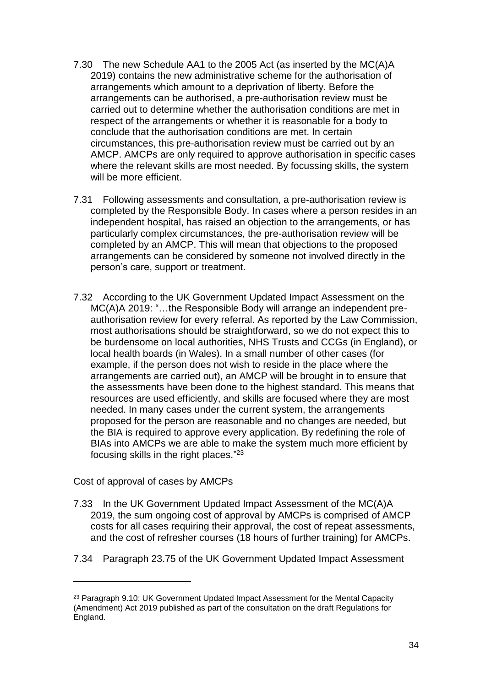- 7.30 The new Schedule AA1 to the 2005 Act (as inserted by the MC(A)A 2019) contains the new administrative scheme for the authorisation of arrangements which amount to a deprivation of liberty. Before the arrangements can be authorised, a pre-authorisation review must be carried out to determine whether the authorisation conditions are met in respect of the arrangements or whether it is reasonable for a body to conclude that the authorisation conditions are met. In certain circumstances, this pre-authorisation review must be carried out by an AMCP. AMCPs are only required to approve authorisation in specific cases where the relevant skills are most needed. By focussing skills, the system will be more efficient.
- 7.31 Following assessments and consultation, a pre-authorisation review is completed by the Responsible Body. In cases where a person resides in an independent hospital, has raised an objection to the arrangements, or has particularly complex circumstances, the pre-authorisation review will be completed by an AMCP. This will mean that objections to the proposed arrangements can be considered by someone not involved directly in the person's care, support or treatment.
- 7.32 According to the UK Government Updated Impact Assessment on the MC(A)A 2019: "…the Responsible Body will arrange an independent preauthorisation review for every referral. As reported by the Law Commission, most authorisations should be straightforward, so we do not expect this to be burdensome on local authorities, NHS Trusts and CCGs (in England), or local health boards (in Wales). In a small number of other cases (for example, if the person does not wish to reside in the place where the arrangements are carried out), an AMCP will be brought in to ensure that the assessments have been done to the highest standard. This means that resources are used efficiently, and skills are focused where they are most needed. In many cases under the current system, the arrangements proposed for the person are reasonable and no changes are needed, but the BIA is required to approve every application. By redefining the role of BIAs into AMCPs we are able to make the system much more efficient by focusing skills in the right places."<sup>23</sup>

Cost of approval of cases by AMCPs

**.** 

- 7.33 In the UK Government Updated Impact Assessment of the MC(A)A 2019, the sum ongoing cost of approval by AMCPs is comprised of AMCP costs for all cases requiring their approval, the cost of repeat assessments, and the cost of refresher courses (18 hours of further training) for AMCPs.
- 7.34 Paragraph 23.75 of the UK Government Updated Impact Assessment

<sup>&</sup>lt;sup>23</sup> Paragraph 9.10: UK Government Updated Impact Assessment for the Mental Capacity (Amendment) Act 2019 published as part of the consultation on the draft Regulations for England.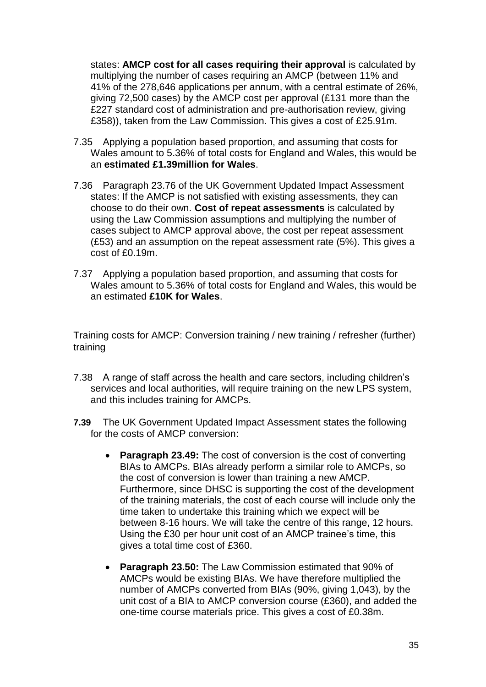states: **AMCP cost for all cases requiring their approval** is calculated by multiplying the number of cases requiring an AMCP (between 11% and 41% of the 278,646 applications per annum, with a central estimate of 26%, giving 72,500 cases) by the AMCP cost per approval (£131 more than the £227 standard cost of administration and pre-authorisation review, giving £358)), taken from the Law Commission. This gives a cost of £25.91m.

- 7.35 Applying a population based proportion, and assuming that costs for Wales amount to 5.36% of total costs for England and Wales, this would be an **estimated £1.39million for Wales**.
- 7.36 Paragraph 23.76 of the UK Government Updated Impact Assessment states: If the AMCP is not satisfied with existing assessments, they can choose to do their own. **Cost of repeat assessments** is calculated by using the Law Commission assumptions and multiplying the number of cases subject to AMCP approval above, the cost per repeat assessment (£53) and an assumption on the repeat assessment rate (5%). This gives a cost of £0.19m.
- 7.37 Applying a population based proportion, and assuming that costs for Wales amount to 5.36% of total costs for England and Wales, this would be an estimated **£10K for Wales**.

Training costs for AMCP: Conversion training / new training / refresher (further) training

- 7.38 A range of staff across the health and care sectors, including children's services and local authorities, will require training on the new LPS system, and this includes training for AMCPs.
- **7.39** The UK Government Updated Impact Assessment states the following for the costs of AMCP conversion:
	- **Paragraph 23.49:** The cost of conversion is the cost of converting BIAs to AMCPs. BIAs already perform a similar role to AMCPs, so the cost of conversion is lower than training a new AMCP. Furthermore, since DHSC is supporting the cost of the development of the training materials, the cost of each course will include only the time taken to undertake this training which we expect will be between 8-16 hours. We will take the centre of this range, 12 hours. Using the £30 per hour unit cost of an AMCP trainee's time, this gives a total time cost of £360.
	- **Paragraph 23.50:** The Law Commission estimated that 90% of AMCPs would be existing BIAs. We have therefore multiplied the number of AMCPs converted from BIAs (90%, giving 1,043), by the unit cost of a BIA to AMCP conversion course (£360), and added the one-time course materials price. This gives a cost of £0.38m.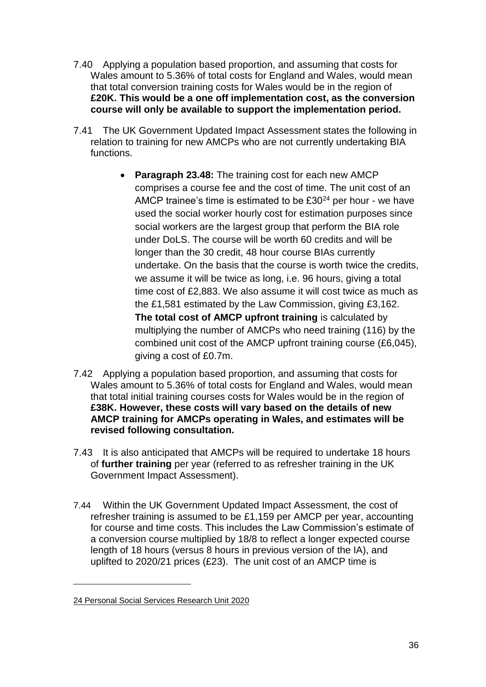- 7.40 Applying a population based proportion, and assuming that costs for Wales amount to 5.36% of total costs for England and Wales, would mean that total conversion training costs for Wales would be in the region of **£20K. This would be a one off implementation cost, as the conversion course will only be available to support the implementation period.**
- 7.41 The UK Government Updated Impact Assessment states the following in relation to training for new AMCPs who are not currently undertaking BIA functions.
	- **Paragraph 23.48:** The training cost for each new AMCP comprises a course fee and the cost of time. The unit cost of an AMCP trainee's time is estimated to be £30<sup>24</sup> per hour - we have used the social worker hourly cost for estimation purposes since social workers are the largest group that perform the BIA role under DoLS. The course will be worth 60 credits and will be longer than the 30 credit, 48 hour course BIAs currently undertake. On the basis that the course is worth twice the credits, we assume it will be twice as long, i.e. 96 hours, giving a total time cost of £2,883. We also assume it will cost twice as much as the £1,581 estimated by the Law Commission, giving £3,162. **The total cost of AMCP upfront training** is calculated by multiplying the number of AMCPs who need training (116) by the combined unit cost of the AMCP upfront training course (£6,045), giving a cost of £0.7m.
- 7.42 Applying a population based proportion, and assuming that costs for Wales amount to 5.36% of total costs for England and Wales, would mean that total initial training courses costs for Wales would be in the region of **£38K. However, these costs will vary based on the details of new AMCP training for AMCPs operating in Wales, and estimates will be revised following consultation.**
- 7.43 It is also anticipated that AMCPs will be required to undertake 18 hours of **further training** per year (referred to as refresher training in the UK Government Impact Assessment).
- 7.44 Within the UK Government Updated Impact Assessment, the cost of refresher training is assumed to be £1,159 per AMCP per year, accounting for course and time costs. This includes the Law Commission's estimate of a conversion course multiplied by 18/8 to reflect a longer expected course length of 18 hours (versus 8 hours in previous version of the IA), and uplifted to 2020/21 prices (£23). The unit cost of an AMCP time is

1

<sup>24</sup> [Personal Social Services Research Unit 2020](https://www.pssru.ac.uk/project-pages/unit-costs/unit-costs-2020/)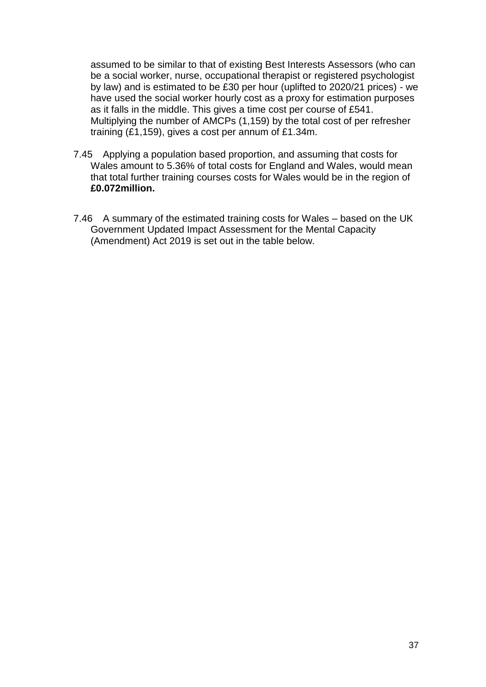assumed to be similar to that of existing Best Interests Assessors (who can be a social worker, nurse, occupational therapist or registered psychologist by law) and is estimated to be £30 per hour (uplifted to 2020/21 prices) - we have used the social worker hourly cost as a proxy for estimation purposes as it falls in the middle. This gives a time cost per course of £541. Multiplying the number of AMCPs (1,159) by the total cost of per refresher training (£1,159), gives a cost per annum of £1.34m.

- 7.45 Applying a population based proportion, and assuming that costs for Wales amount to 5.36% of total costs for England and Wales, would mean that total further training courses costs for Wales would be in the region of **£0.072million.**
- 7.46 A summary of the estimated training costs for Wales based on the UK Government Updated Impact Assessment for the Mental Capacity (Amendment) Act 2019 is set out in the table below.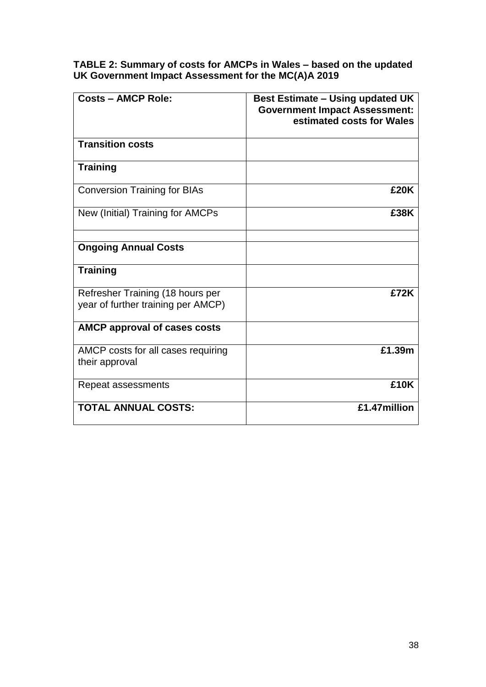**TABLE 2: Summary of costs for AMCPs in Wales – based on the updated UK Government Impact Assessment for the MC(A)A 2019**

| <b>Costs - AMCP Role:</b>                                              | <b>Best Estimate – Using updated UK</b><br><b>Government Impact Assessment:</b><br>estimated costs for Wales |
|------------------------------------------------------------------------|--------------------------------------------------------------------------------------------------------------|
| <b>Transition costs</b>                                                |                                                                                                              |
| <b>Training</b>                                                        |                                                                                                              |
| <b>Conversion Training for BIAs</b>                                    | £20K                                                                                                         |
| New (Initial) Training for AMCPs                                       | £38K                                                                                                         |
| <b>Ongoing Annual Costs</b>                                            |                                                                                                              |
| <b>Training</b>                                                        |                                                                                                              |
| Refresher Training (18 hours per<br>year of further training per AMCP) | £72K                                                                                                         |
| <b>AMCP approval of cases costs</b>                                    |                                                                                                              |
| AMCP costs for all cases requiring<br>their approval                   | £1.39m                                                                                                       |
| Repeat assessments                                                     | £10K                                                                                                         |
| <b>TOTAL ANNUAL COSTS:</b>                                             | £1.47million                                                                                                 |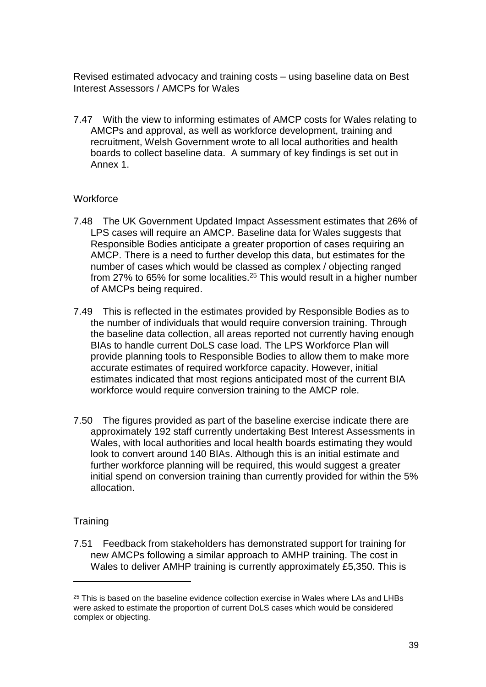Revised estimated advocacy and training costs – using baseline data on Best Interest Assessors / AMCPs for Wales

7.47 With the view to informing estimates of AMCP costs for Wales relating to AMCPs and approval, as well as workforce development, training and recruitment, Welsh Government wrote to all local authorities and health boards to collect baseline data. A summary of key findings is set out in Annex 1.

#### **Workforce**

- 7.48 The UK Government Updated Impact Assessment estimates that 26% of LPS cases will require an AMCP. Baseline data for Wales suggests that Responsible Bodies anticipate a greater proportion of cases requiring an AMCP. There is a need to further develop this data, but estimates for the number of cases which would be classed as complex / objecting ranged from 27% to 65% for some localities.<sup>25</sup> This would result in a higher number of AMCPs being required.
- 7.49 This is reflected in the estimates provided by Responsible Bodies as to the number of individuals that would require conversion training. Through the baseline data collection, all areas reported not currently having enough BIAs to handle current DoLS case load. The LPS Workforce Plan will provide planning tools to Responsible Bodies to allow them to make more accurate estimates of required workforce capacity. However, initial estimates indicated that most regions anticipated most of the current BIA workforce would require conversion training to the AMCP role.
- 7.50 The figures provided as part of the baseline exercise indicate there are approximately 192 staff currently undertaking Best Interest Assessments in Wales, with local authorities and local health boards estimating they would look to convert around 140 BIAs. Although this is an initial estimate and further workforce planning will be required, this would suggest a greater initial spend on conversion training than currently provided for within the 5% allocation.

#### **Training**

**.** 

7.51 Feedback from stakeholders has demonstrated support for training for new AMCPs following a similar approach to AMHP training. The cost in Wales to deliver AMHP training is currently approximately £5,350. This is

<sup>&</sup>lt;sup>25</sup> This is based on the baseline evidence collection exercise in Wales where LAs and LHBs were asked to estimate the proportion of current DoLS cases which would be considered complex or objecting.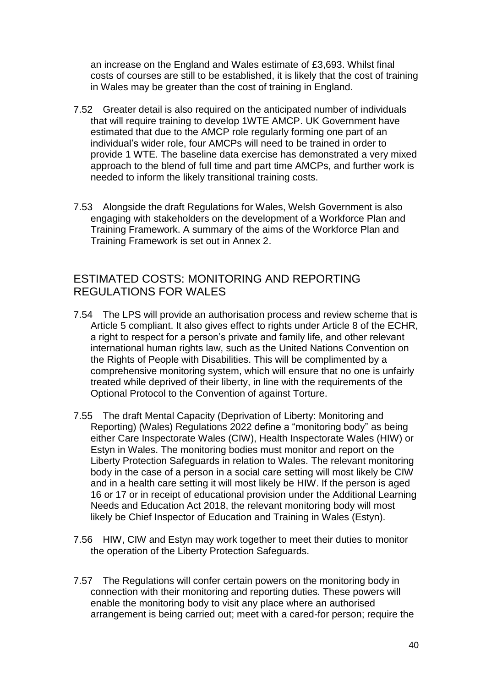an increase on the England and Wales estimate of £3,693. Whilst final costs of courses are still to be established, it is likely that the cost of training in Wales may be greater than the cost of training in England.

- 7.52 Greater detail is also required on the anticipated number of individuals that will require training to develop 1WTE AMCP. UK Government have estimated that due to the AMCP role regularly forming one part of an individual's wider role, four AMCPs will need to be trained in order to provide 1 WTE. The baseline data exercise has demonstrated a very mixed approach to the blend of full time and part time AMCPs, and further work is needed to inform the likely transitional training costs.
- 7.53 Alongside the draft Regulations for Wales, Welsh Government is also engaging with stakeholders on the development of a Workforce Plan and Training Framework. A summary of the aims of the Workforce Plan and Training Framework is set out in Annex 2.

# <span id="page-39-0"></span>ESTIMATED COSTS: MONITORING AND REPORTING REGULATIONS FOR WALES

- 7.54 The LPS will provide an authorisation process and review scheme that is Article 5 compliant. It also gives effect to rights under Article 8 of the ECHR, a right to respect for a person's private and family life, and other relevant international human rights law, such as the United Nations Convention on the Rights of People with Disabilities. This will be complimented by a comprehensive monitoring system, which will ensure that no one is unfairly treated while deprived of their liberty, in line with the requirements of the Optional Protocol to the Convention of against Torture.
- 7.55 The draft Mental Capacity (Deprivation of Liberty: Monitoring and Reporting) (Wales) Regulations 2022 define a "monitoring body" as being either Care Inspectorate Wales (CIW), Health Inspectorate Wales (HIW) or Estyn in Wales. The monitoring bodies must monitor and report on the Liberty Protection Safeguards in relation to Wales. The relevant monitoring body in the case of a person in a social care setting will most likely be CIW and in a health care setting it will most likely be HIW. If the person is aged 16 or 17 or in receipt of educational provision under the Additional Learning Needs and Education Act 2018, the relevant monitoring body will most likely be Chief Inspector of Education and Training in Wales (Estyn).
- 7.56 HIW, CIW and Estyn may work together to meet their duties to monitor the operation of the Liberty Protection Safeguards.
- 7.57 The Regulations will confer certain powers on the monitoring body in connection with their monitoring and reporting duties. These powers will enable the monitoring body to visit any place where an authorised arrangement is being carried out; meet with a cared-for person; require the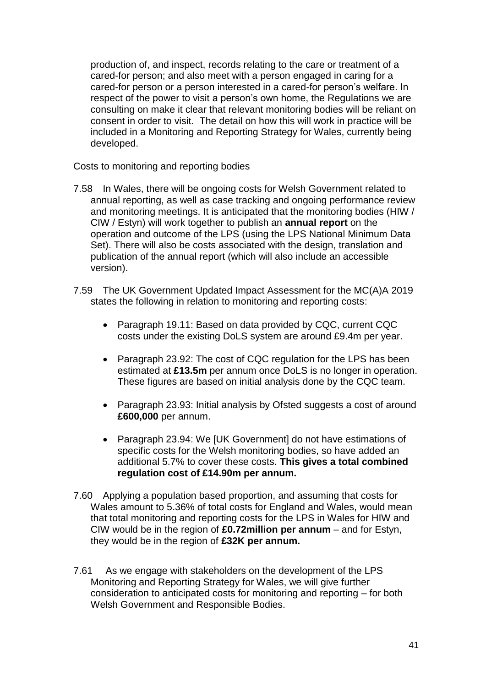production of, and inspect, records relating to the care or treatment of a cared-for person; and also meet with a person engaged in caring for a cared-for person or a person interested in a cared-for person's welfare. In respect of the power to visit a person's own home, the Regulations we are consulting on make it clear that relevant monitoring bodies will be reliant on consent in order to visit. The detail on how this will work in practice will be included in a Monitoring and Reporting Strategy for Wales, currently being developed.

Costs to monitoring and reporting bodies

- 7.58 In Wales, there will be ongoing costs for Welsh Government related to annual reporting, as well as case tracking and ongoing performance review and monitoring meetings. It is anticipated that the monitoring bodies (HIW / CIW / Estyn) will work together to publish an **annual report** on the operation and outcome of the LPS (using the LPS National Minimum Data Set). There will also be costs associated with the design, translation and publication of the annual report (which will also include an accessible version).
- 7.59 The UK Government Updated Impact Assessment for the MC(A)A 2019 states the following in relation to monitoring and reporting costs:
	- Paragraph 19.11: Based on data provided by CQC, current CQC costs under the existing DoLS system are around £9.4m per year.
	- Paragraph 23.92: The cost of CQC regulation for the LPS has been estimated at **£13.5m** per annum once DoLS is no longer in operation. These figures are based on initial analysis done by the CQC team.
	- Paragraph 23.93: Initial analysis by Ofsted suggests a cost of around **£600,000** per annum.
	- Paragraph 23.94: We [UK Government] do not have estimations of specific costs for the Welsh monitoring bodies, so have added an additional 5.7% to cover these costs. **This gives a total combined regulation cost of £14.90m per annum.**
- 7.60 Applying a population based proportion, and assuming that costs for Wales amount to 5.36% of total costs for England and Wales, would mean that total monitoring and reporting costs for the LPS in Wales for HIW and CIW would be in the region of **£0.72million per annum** – and for Estyn, they would be in the region of **£32K per annum.**
- 7.61 As we engage with stakeholders on the development of the LPS Monitoring and Reporting Strategy for Wales, we will give further consideration to anticipated costs for monitoring and reporting – for both Welsh Government and Responsible Bodies.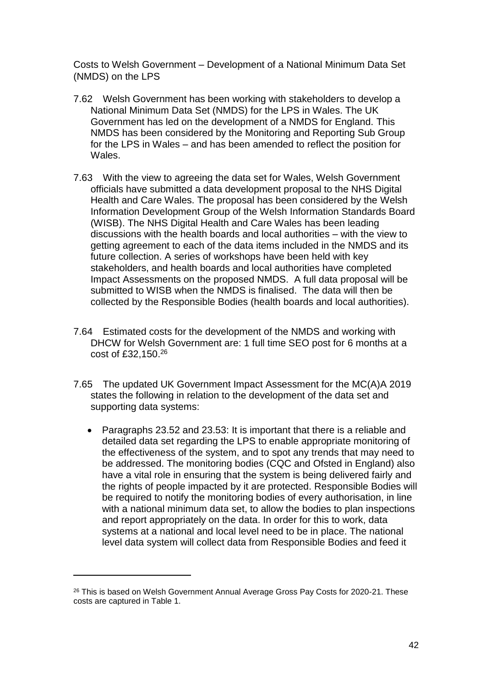Costs to Welsh Government – Development of a National Minimum Data Set (NMDS) on the LPS

- 7.62 Welsh Government has been working with stakeholders to develop a National Minimum Data Set (NMDS) for the LPS in Wales. The UK Government has led on the development of a NMDS for England. This NMDS has been considered by the Monitoring and Reporting Sub Group for the LPS in Wales – and has been amended to reflect the position for Wales.
- 7.63 With the view to agreeing the data set for Wales, Welsh Government officials have submitted a data development proposal to the NHS Digital Health and Care Wales. The proposal has been considered by the Welsh Information Development Group of the Welsh Information Standards Board (WISB). The NHS Digital Health and Care Wales has been leading discussions with the health boards and local authorities – with the view to getting agreement to each of the data items included in the NMDS and its future collection. A series of workshops have been held with key stakeholders, and health boards and local authorities have completed Impact Assessments on the proposed NMDS. A full data proposal will be submitted to WISB when the NMDS is finalised. The data will then be collected by the Responsible Bodies (health boards and local authorities).
- 7.64 Estimated costs for the development of the NMDS and working with DHCW for Welsh Government are: 1 full time SEO post for 6 months at a cost of £32,150. 26
- 7.65 The updated UK Government Impact Assessment for the MC(A)A 2019 states the following in relation to the development of the data set and supporting data systems:
	- Paragraphs 23.52 and 23.53: It is important that there is a reliable and detailed data set regarding the LPS to enable appropriate monitoring of the effectiveness of the system, and to spot any trends that may need to be addressed. The monitoring bodies (CQC and Ofsted in England) also have a vital role in ensuring that the system is being delivered fairly and the rights of people impacted by it are protected. Responsible Bodies will be required to notify the monitoring bodies of every authorisation, in line with a national minimum data set, to allow the bodies to plan inspections and report appropriately on the data. In order for this to work, data systems at a national and local level need to be in place. The national level data system will collect data from Responsible Bodies and feed it

**.** 

<sup>&</sup>lt;sup>26</sup> This is based on Welsh Government Annual Average Gross Pay Costs for 2020-21. These costs are captured in Table 1.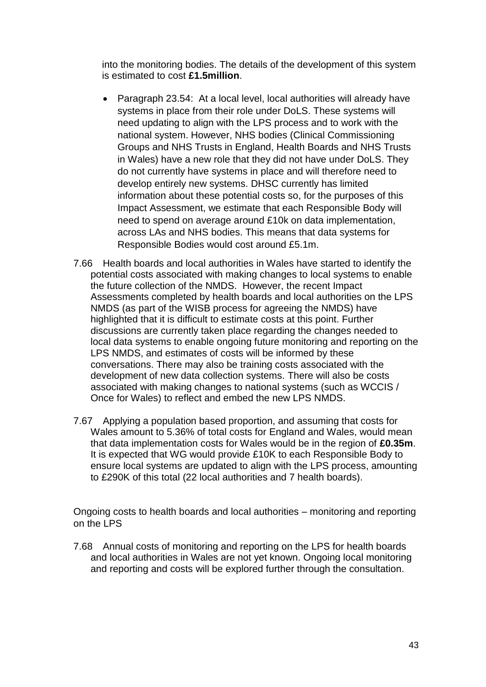into the monitoring bodies. The details of the development of this system is estimated to cost **£1.5million**.

- Paragraph 23.54: At a local level, local authorities will already have systems in place from their role under DoLS. These systems will need updating to align with the LPS process and to work with the national system. However, NHS bodies (Clinical Commissioning Groups and NHS Trusts in England, Health Boards and NHS Trusts in Wales) have a new role that they did not have under DoLS. They do not currently have systems in place and will therefore need to develop entirely new systems. DHSC currently has limited information about these potential costs so, for the purposes of this Impact Assessment, we estimate that each Responsible Body will need to spend on average around £10k on data implementation, across LAs and NHS bodies. This means that data systems for Responsible Bodies would cost around £5.1m.
- 7.66 Health boards and local authorities in Wales have started to identify the potential costs associated with making changes to local systems to enable the future collection of the NMDS. However, the recent Impact Assessments completed by health boards and local authorities on the LPS NMDS (as part of the WISB process for agreeing the NMDS) have highlighted that it is difficult to estimate costs at this point. Further discussions are currently taken place regarding the changes needed to local data systems to enable ongoing future monitoring and reporting on the LPS NMDS, and estimates of costs will be informed by these conversations. There may also be training costs associated with the development of new data collection systems. There will also be costs associated with making changes to national systems (such as WCCIS / Once for Wales) to reflect and embed the new LPS NMDS.
- 7.67 Applying a population based proportion, and assuming that costs for Wales amount to 5.36% of total costs for England and Wales, would mean that data implementation costs for Wales would be in the region of **£0.35m**. It is expected that WG would provide £10K to each Responsible Body to ensure local systems are updated to align with the LPS process, amounting to £290K of this total (22 local authorities and 7 health boards).

Ongoing costs to health boards and local authorities – monitoring and reporting on the LPS

7.68 Annual costs of monitoring and reporting on the LPS for health boards and local authorities in Wales are not yet known. Ongoing local monitoring and reporting and costs will be explored further through the consultation.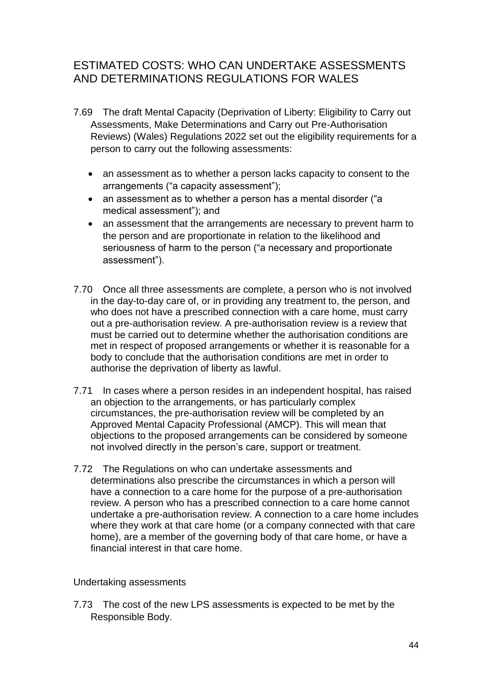# <span id="page-43-0"></span>ESTIMATED COSTS: WHO CAN UNDERTAKE ASSESSMENTS AND DETERMINATIONS REGULATIONS FOR WALES

- 7.69 The draft Mental Capacity (Deprivation of Liberty: Eligibility to Carry out Assessments, Make Determinations and Carry out Pre-Authorisation Reviews) (Wales) Regulations 2022 set out the eligibility requirements for a person to carry out the following assessments:
	- an assessment as to whether a person lacks capacity to consent to the arrangements ("a capacity assessment");
	- an assessment as to whether a person has a mental disorder ("a medical assessment"); and
	- an assessment that the arrangements are necessary to prevent harm to the person and are proportionate in relation to the likelihood and seriousness of harm to the person ("a necessary and proportionate assessment").
- 7.70 Once all three assessments are complete, a person who is not involved in the day-to-day care of, or in providing any treatment to, the person, and who does not have a prescribed connection with a care home, must carry out a pre-authorisation review. A pre-authorisation review is a review that must be carried out to determine whether the authorisation conditions are met in respect of proposed arrangements or whether it is reasonable for a body to conclude that the authorisation conditions are met in order to authorise the deprivation of liberty as lawful.
- 7.71 In cases where a person resides in an independent hospital, has raised an objection to the arrangements, or has particularly complex circumstances, the pre-authorisation review will be completed by an Approved Mental Capacity Professional (AMCP). This will mean that objections to the proposed arrangements can be considered by someone not involved directly in the person's care, support or treatment.
- 7.72 The Regulations on who can undertake assessments and determinations also prescribe the circumstances in which a person will have a connection to a care home for the purpose of a pre-authorisation review. A person who has a prescribed connection to a care home cannot undertake a pre-authorisation review. A connection to a care home includes where they work at that care home (or a company connected with that care home), are a member of the governing body of that care home, or have a financial interest in that care home.

#### Undertaking assessments

7.73 The cost of the new LPS assessments is expected to be met by the Responsible Body.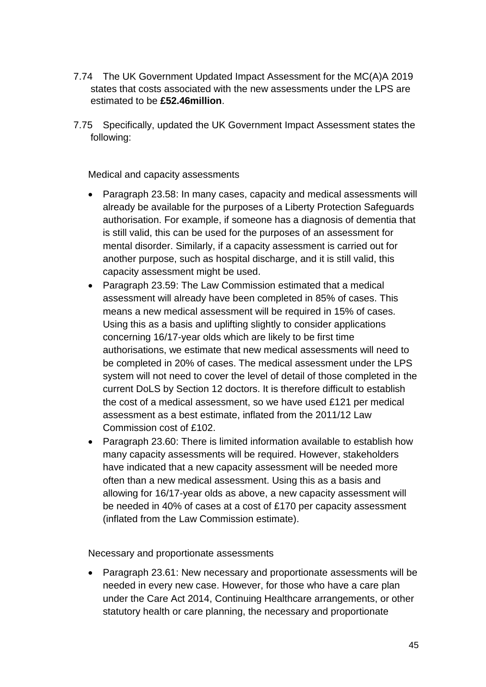- 7.74 The UK Government Updated Impact Assessment for the MC(A)A 2019 states that costs associated with the new assessments under the LPS are estimated to be **£52.46million**.
- 7.75 Specifically, updated the UK Government Impact Assessment states the following:

Medical and capacity assessments

- Paragraph 23.58: In many cases, capacity and medical assessments will already be available for the purposes of a Liberty Protection Safeguards authorisation. For example, if someone has a diagnosis of dementia that is still valid, this can be used for the purposes of an assessment for mental disorder. Similarly, if a capacity assessment is carried out for another purpose, such as hospital discharge, and it is still valid, this capacity assessment might be used.
- Paragraph 23.59: The Law Commission estimated that a medical assessment will already have been completed in 85% of cases. This means a new medical assessment will be required in 15% of cases. Using this as a basis and uplifting slightly to consider applications concerning 16/17-year olds which are likely to be first time authorisations, we estimate that new medical assessments will need to be completed in 20% of cases. The medical assessment under the LPS system will not need to cover the level of detail of those completed in the current DoLS by Section 12 doctors. It is therefore difficult to establish the cost of a medical assessment, so we have used £121 per medical assessment as a best estimate, inflated from the 2011/12 Law Commission cost of £102.
- Paragraph 23.60: There is limited information available to establish how many capacity assessments will be required. However, stakeholders have indicated that a new capacity assessment will be needed more often than a new medical assessment. Using this as a basis and allowing for 16/17-year olds as above, a new capacity assessment will be needed in 40% of cases at a cost of £170 per capacity assessment (inflated from the Law Commission estimate).

Necessary and proportionate assessments

 Paragraph 23.61: New necessary and proportionate assessments will be needed in every new case. However, for those who have a care plan under the Care Act 2014, Continuing Healthcare arrangements, or other statutory health or care planning, the necessary and proportionate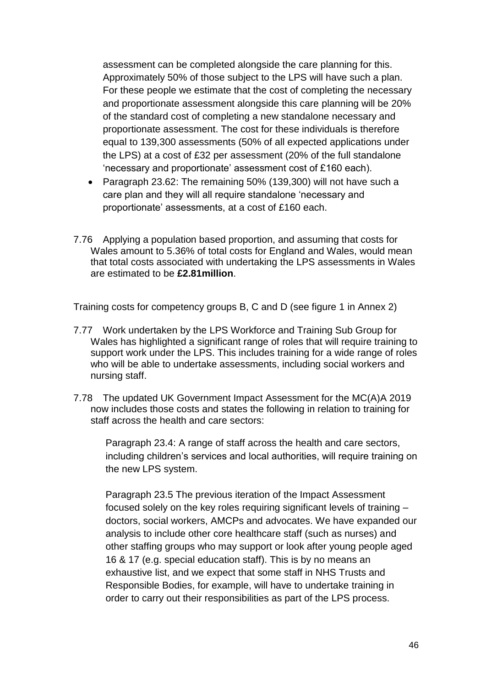assessment can be completed alongside the care planning for this. Approximately 50% of those subject to the LPS will have such a plan. For these people we estimate that the cost of completing the necessary and proportionate assessment alongside this care planning will be 20% of the standard cost of completing a new standalone necessary and proportionate assessment. The cost for these individuals is therefore equal to 139,300 assessments (50% of all expected applications under the LPS) at a cost of £32 per assessment (20% of the full standalone 'necessary and proportionate' assessment cost of £160 each).

- Paragraph 23.62: The remaining 50% (139,300) will not have such a care plan and they will all require standalone 'necessary and proportionate' assessments, at a cost of £160 each.
- 7.76 Applying a population based proportion, and assuming that costs for Wales amount to 5.36% of total costs for England and Wales, would mean that total costs associated with undertaking the LPS assessments in Wales are estimated to be **£2.81million**.

Training costs for competency groups B, C and D (see figure 1 in Annex 2)

- 7.77 Work undertaken by the LPS Workforce and Training Sub Group for Wales has highlighted a significant range of roles that will require training to support work under the LPS. This includes training for a wide range of roles who will be able to undertake assessments, including social workers and nursing staff.
- 7.78 The updated UK Government Impact Assessment for the MC(A)A 2019 now includes those costs and states the following in relation to training for staff across the health and care sectors:

Paragraph 23.4: A range of staff across the health and care sectors, including children's services and local authorities, will require training on the new LPS system.

Paragraph 23.5 The previous iteration of the Impact Assessment focused solely on the key roles requiring significant levels of training – doctors, social workers, AMCPs and advocates. We have expanded our analysis to include other core healthcare staff (such as nurses) and other staffing groups who may support or look after young people aged 16 & 17 (e.g. special education staff). This is by no means an exhaustive list, and we expect that some staff in NHS Trusts and Responsible Bodies, for example, will have to undertake training in order to carry out their responsibilities as part of the LPS process.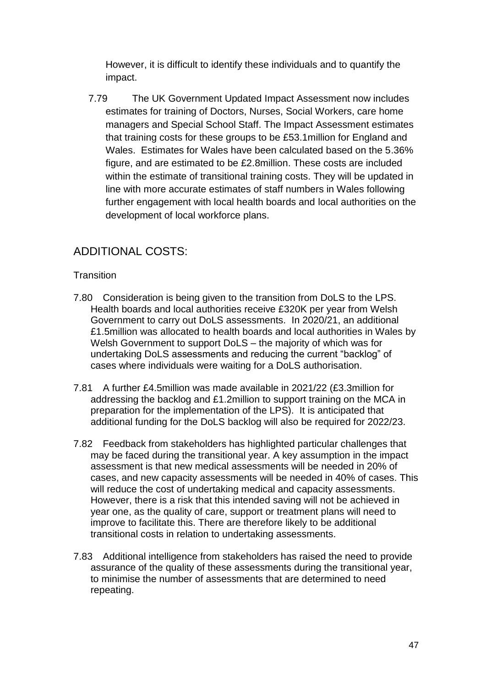However, it is difficult to identify these individuals and to quantify the impact.

7.79 The UK Government Updated Impact Assessment now includes estimates for training of Doctors, Nurses, Social Workers, care home managers and Special School Staff. The Impact Assessment estimates that training costs for these groups to be £53.1million for England and Wales. Estimates for Wales have been calculated based on the 5.36% figure, and are estimated to be £2.8million. These costs are included within the estimate of transitional training costs. They will be updated in line with more accurate estimates of staff numbers in Wales following further engagement with local health boards and local authorities on the development of local workforce plans.

# <span id="page-46-0"></span>ADDITIONAL COSTS:

#### **Transition**

- 7.80 Consideration is being given to the transition from DoLS to the LPS. Health boards and local authorities receive £320K per year from Welsh Government to carry out DoLS assessments. In 2020/21, an additional £1.5million was allocated to health boards and local authorities in Wales by Welsh Government to support DoLS – the majority of which was for undertaking DoLS assessments and reducing the current "backlog" of cases where individuals were waiting for a DoLS authorisation.
- 7.81 A further £4.5million was made available in 2021/22 (£3.3million for addressing the backlog and £1.2million to support training on the MCA in preparation for the implementation of the LPS). It is anticipated that additional funding for the DoLS backlog will also be required for 2022/23.
- 7.82 Feedback from stakeholders has highlighted particular challenges that may be faced during the transitional year. A key assumption in the impact assessment is that new medical assessments will be needed in 20% of cases, and new capacity assessments will be needed in 40% of cases. This will reduce the cost of undertaking medical and capacity assessments. However, there is a risk that this intended saving will not be achieved in year one, as the quality of care, support or treatment plans will need to improve to facilitate this. There are therefore likely to be additional transitional costs in relation to undertaking assessments.
- 7.83 Additional intelligence from stakeholders has raised the need to provide assurance of the quality of these assessments during the transitional year, to minimise the number of assessments that are determined to need repeating.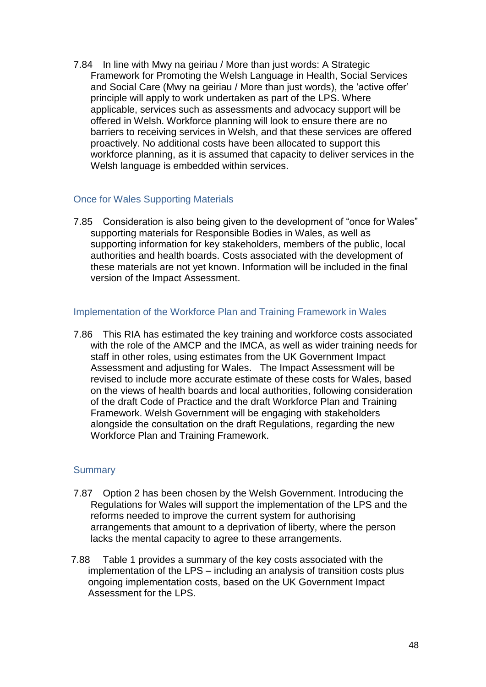7.84 In line with Mwy na geiriau / More than just words: A Strategic Framework for Promoting the Welsh Language in Health, Social Services and Social Care (Mwy na geiriau / More than just words), the 'active offer' principle will apply to work undertaken as part of the LPS. Where applicable, services such as assessments and advocacy support will be offered in Welsh. Workforce planning will look to ensure there are no barriers to receiving services in Welsh, and that these services are offered proactively. No additional costs have been allocated to support this workforce planning, as it is assumed that capacity to deliver services in the Welsh language is embedded within services.

#### Once for Wales Supporting Materials

7.85 Consideration is also being given to the development of "once for Wales" supporting materials for Responsible Bodies in Wales, as well as supporting information for key stakeholders, members of the public, local authorities and health boards. Costs associated with the development of these materials are not yet known. Information will be included in the final version of the Impact Assessment.

#### Implementation of the Workforce Plan and Training Framework in Wales

7.86 This RIA has estimated the key training and workforce costs associated with the role of the AMCP and the IMCA, as well as wider training needs for staff in other roles, using estimates from the UK Government Impact Assessment and adjusting for Wales. The Impact Assessment will be revised to include more accurate estimate of these costs for Wales, based on the views of health boards and local authorities, following consideration of the draft Code of Practice and the draft Workforce Plan and Training Framework. Welsh Government will be engaging with stakeholders alongside the consultation on the draft Regulations, regarding the new Workforce Plan and Training Framework.

#### **Summary**

- 7.87 Option 2 has been chosen by the Welsh Government. Introducing the Regulations for Wales will support the implementation of the LPS and the reforms needed to improve the current system for authorising arrangements that amount to a deprivation of liberty, where the person lacks the mental capacity to agree to these arrangements.
- 7.88 Table 1 provides a summary of the key costs associated with the implementation of the LPS – including an analysis of transition costs plus ongoing implementation costs, based on the UK Government Impact Assessment for the LPS.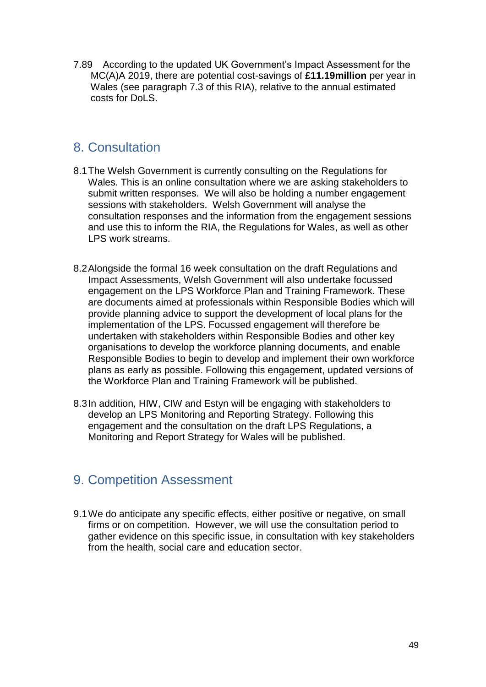7.89 According to the updated UK Government's Impact Assessment for the MC(A)A 2019, there are potential cost-savings of **£11.19million** per year in Wales (see paragraph 7.3 of this RIA), relative to the annual estimated costs for DoLS.

# <span id="page-48-0"></span>8. Consultation

- 8.1The Welsh Government is currently consulting on the Regulations for Wales. This is an online consultation where we are asking stakeholders to submit written responses. We will also be holding a number engagement sessions with stakeholders. Welsh Government will analyse the consultation responses and the information from the engagement sessions and use this to inform the RIA, the Regulations for Wales, as well as other LPS work streams.
- 8.2Alongside the formal 16 week consultation on the draft Regulations and Impact Assessments, Welsh Government will also undertake focussed engagement on the LPS Workforce Plan and Training Framework. These are documents aimed at professionals within Responsible Bodies which will provide planning advice to support the development of local plans for the implementation of the LPS. Focussed engagement will therefore be undertaken with stakeholders within Responsible Bodies and other key organisations to develop the workforce planning documents, and enable Responsible Bodies to begin to develop and implement their own workforce plans as early as possible. Following this engagement, updated versions of the Workforce Plan and Training Framework will be published.
- 8.3In addition, HIW, CIW and Estyn will be engaging with stakeholders to develop an LPS Monitoring and Reporting Strategy. Following this engagement and the consultation on the draft LPS Regulations, a Monitoring and Report Strategy for Wales will be published.

# <span id="page-48-1"></span>9. Competition Assessment

9.1We do anticipate any specific effects, either positive or negative, on small firms or on competition. However, we will use the consultation period to gather evidence on this specific issue, in consultation with key stakeholders from the health, social care and education sector.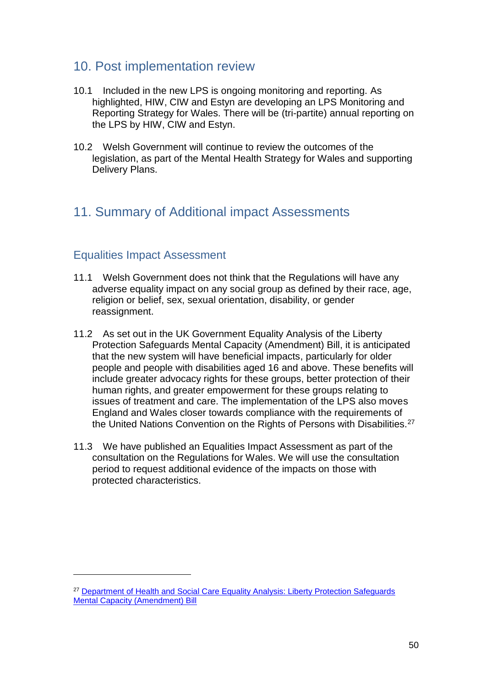# <span id="page-49-0"></span>10. Post implementation review

- 10.1 Included in the new LPS is ongoing monitoring and reporting. As highlighted, HIW, CIW and Estyn are developing an LPS Monitoring and Reporting Strategy for Wales. There will be (tri-partite) annual reporting on the LPS by HIW, CIW and Estyn.
- 10.2 Welsh Government will continue to review the outcomes of the legislation, as part of the Mental Health Strategy for Wales and supporting Delivery Plans.

# <span id="page-49-1"></span>11. Summary of Additional impact Assessments

## <span id="page-49-2"></span>Equalities Impact Assessment

**.** 

- 11.1 Welsh Government does not think that the Regulations will have any adverse equality impact on any social group as defined by their race, age, religion or belief, sex, sexual orientation, disability, or gender reassignment.
- 11.2 As set out in the UK Government Equality Analysis of the Liberty Protection Safeguards Mental Capacity (Amendment) Bill, it is anticipated that the new system will have beneficial impacts, particularly for older people and people with disabilities aged 16 and above. These benefits will include greater advocacy rights for these groups, better protection of their human rights, and greater empowerment for these groups relating to issues of treatment and care. The implementation of the LPS also moves England and Wales closer towards compliance with the requirements of the United Nations Convention on the Rights of Persons with Disabilities.<sup>27</sup>
- 11.3 We have published an Equalities Impact Assessment as part of the consultation on the Regulations for Wales. We will use the consultation period to request additional evidence of the impacts on those with protected characteristics.

<sup>&</sup>lt;sup>27</sup> Department of Health and Social Care Equality Analysis: Liberty Protection Safeguards [Mental Capacity \(Amendment\) Bill](https://assets.publishing.service.gov.uk/government/uploads/system/uploads/attachment_data/file/765385/equality-impact-assessment.pdf)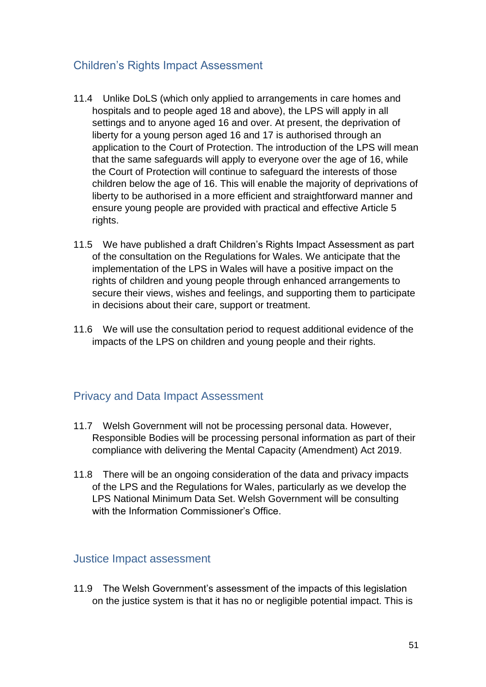# <span id="page-50-0"></span>Children's Rights Impact Assessment

- 11.4 Unlike DoLS (which only applied to arrangements in care homes and hospitals and to people aged 18 and above), the LPS will apply in all settings and to anyone aged 16 and over. At present, the deprivation of liberty for a young person aged 16 and 17 is authorised through an application to the Court of Protection. The introduction of the LPS will mean that the same safeguards will apply to everyone over the age of 16, while the Court of Protection will continue to safeguard the interests of those children below the age of 16. This will enable the majority of deprivations of liberty to be authorised in a more efficient and straightforward manner and ensure young people are provided with practical and effective Article 5 rights.
- 11.5 We have published a draft Children's Rights Impact Assessment as part of the consultation on the Regulations for Wales. We anticipate that the implementation of the LPS in Wales will have a positive impact on the rights of children and young people through enhanced arrangements to secure their views, wishes and feelings, and supporting them to participate in decisions about their care, support or treatment.
- 11.6 We will use the consultation period to request additional evidence of the impacts of the LPS on children and young people and their rights.

# <span id="page-50-1"></span>Privacy and Data Impact Assessment

- 11.7 Welsh Government will not be processing personal data. However, Responsible Bodies will be processing personal information as part of their compliance with delivering the Mental Capacity (Amendment) Act 2019.
- 11.8 There will be an ongoing consideration of the data and privacy impacts of the LPS and the Regulations for Wales, particularly as we develop the LPS National Minimum Data Set. Welsh Government will be consulting with the Information Commissioner's Office.

#### <span id="page-50-2"></span>Justice Impact assessment

11.9 The Welsh Government's assessment of the impacts of this legislation on the justice system is that it has no or negligible potential impact. This is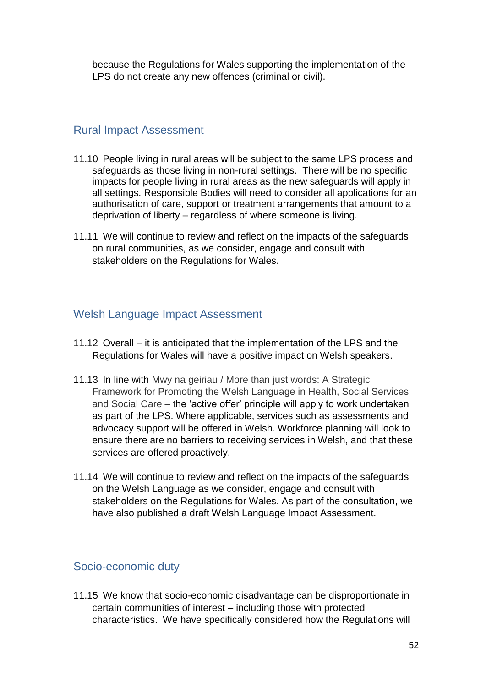because the Regulations for Wales supporting the implementation of the LPS do not create any new offences (criminal or civil).

#### <span id="page-51-0"></span>Rural Impact Assessment

- 11.10 People living in rural areas will be subject to the same LPS process and safeguards as those living in non-rural settings. There will be no specific impacts for people living in rural areas as the new safeguards will apply in all settings. Responsible Bodies will need to consider all applications for an authorisation of care, support or treatment arrangements that amount to a deprivation of liberty – regardless of where someone is living.
- 11.11 We will continue to review and reflect on the impacts of the safeguards on rural communities, as we consider, engage and consult with stakeholders on the Regulations for Wales.

# <span id="page-51-1"></span>Welsh Language Impact Assessment

- 11.12 Overall it is anticipated that the implementation of the LPS and the Regulations for Wales will have a positive impact on Welsh speakers.
- 11.13 In line with Mwy na geiriau / More than just words: A Strategic Framework for Promoting the Welsh Language in Health, Social Services and Social Care – the 'active offer' principle will apply to work undertaken as part of the LPS. Where applicable, services such as assessments and advocacy support will be offered in Welsh. Workforce planning will look to ensure there are no barriers to receiving services in Welsh, and that these services are offered proactively.
- 11.14 We will continue to review and reflect on the impacts of the safeguards on the Welsh Language as we consider, engage and consult with stakeholders on the Regulations for Wales. As part of the consultation, we have also published a draft Welsh Language Impact Assessment.

## <span id="page-51-2"></span>Socio-economic duty

11.15 We know that socio-economic disadvantage can be disproportionate in certain communities of interest – including those with protected characteristics. We have specifically considered how the Regulations will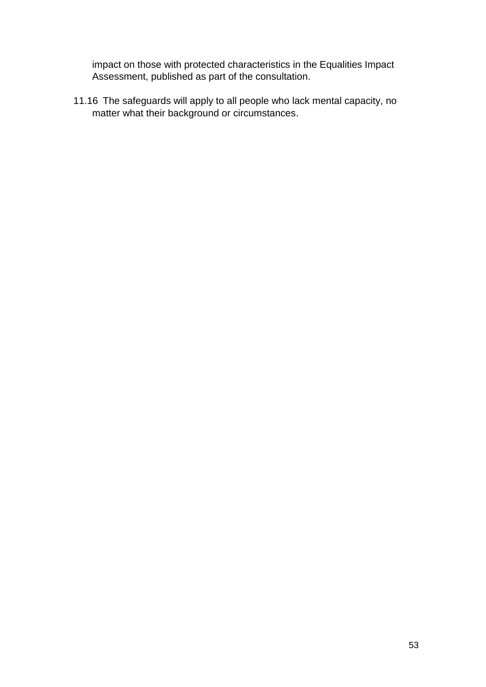impact on those with protected characteristics in the Equalities Impact Assessment, published as part of the consultation.

11.16 The safeguards will apply to all people who lack mental capacity, no matter what their background or circumstances.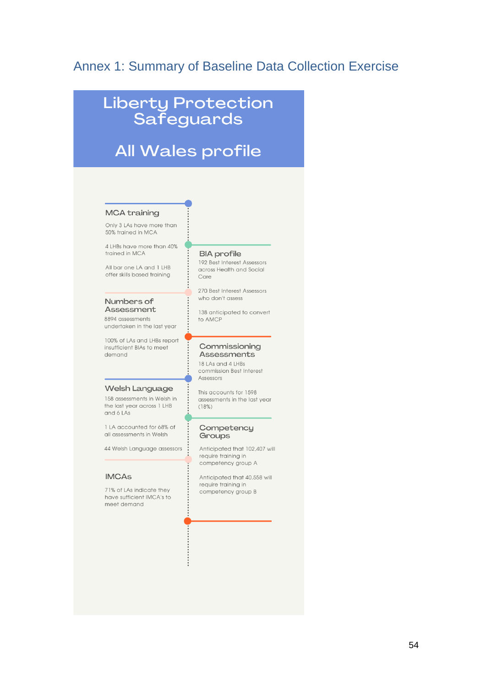# <span id="page-53-0"></span>Annex 1: Summary of Baseline Data Collection Exercise

# **Liberty Protection<br>Safeguards**

# All Wales profile

#### **MCA training**

Only 3 LAs have more than 50% trained in MCA

4 LHBs have more than 40% trained in MCA

All bar one LA and 1 LHB offer skills based training

#### Numbers of Assessment

8894 assessments undertaken in the last year

100% of LAs and LHBs report insufficient BIAs to meet demand

#### Welsh Language

158 assessments in Welsh in the last year across 1 LHB and 6 LAs

11.A accounted for 68% of all assessments in Welsh

44 Welsh Language assessors

#### **IMCAs**

71% of LAs indicate they have sufficient IMCA's to meet demand

#### **BIA** profile

192 Best Interest Assessors across Health and Social Care

270 Best Interest Assessors who don't assess

138 anticipated to convert to AMCP

#### Commissioning Assessments

18 LAs and 4 LHBs commission Best Interest Assessors

This accounts for 1598 assessments in the last year  $(18%)$ 

#### Competency Groups

Anticipated that 102,407 will require training in competency group A

Anticipated that 40,558 will reauire trainina in competency group B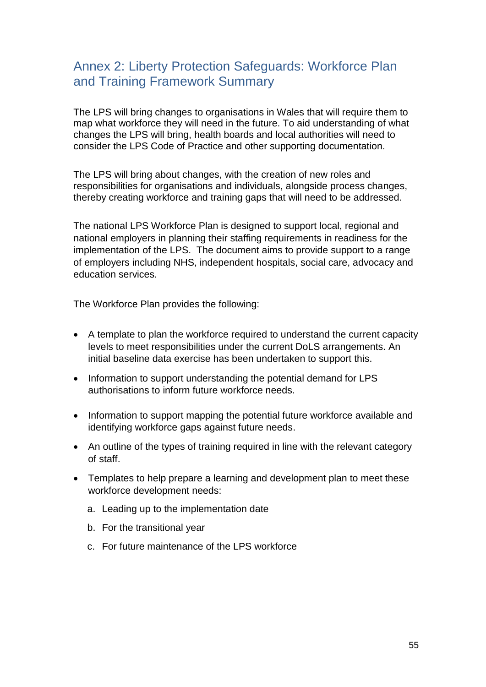# <span id="page-54-0"></span>Annex 2: Liberty Protection Safeguards: Workforce Plan and Training Framework Summary

The LPS will bring changes to organisations in Wales that will require them to map what workforce they will need in the future. To aid understanding of what changes the LPS will bring, health boards and local authorities will need to consider the LPS Code of Practice and other supporting documentation.

The LPS will bring about changes, with the creation of new roles and responsibilities for organisations and individuals, alongside process changes, thereby creating workforce and training gaps that will need to be addressed.

The national LPS Workforce Plan is designed to support local, regional and national employers in planning their staffing requirements in readiness for the implementation of the LPS. The document aims to provide support to a range of employers including NHS, independent hospitals, social care, advocacy and education services.

The Workforce Plan provides the following:

- A template to plan the workforce required to understand the current capacity levels to meet responsibilities under the current DoLS arrangements. An initial baseline data exercise has been undertaken to support this.
- Information to support understanding the potential demand for LPS authorisations to inform future workforce needs.
- Information to support mapping the potential future workforce available and identifying workforce gaps against future needs.
- An outline of the types of training required in line with the relevant category of staff.
- Templates to help prepare a learning and development plan to meet these workforce development needs:
	- a. Leading up to the implementation date
	- b. For the transitional year
	- c. For future maintenance of the LPS workforce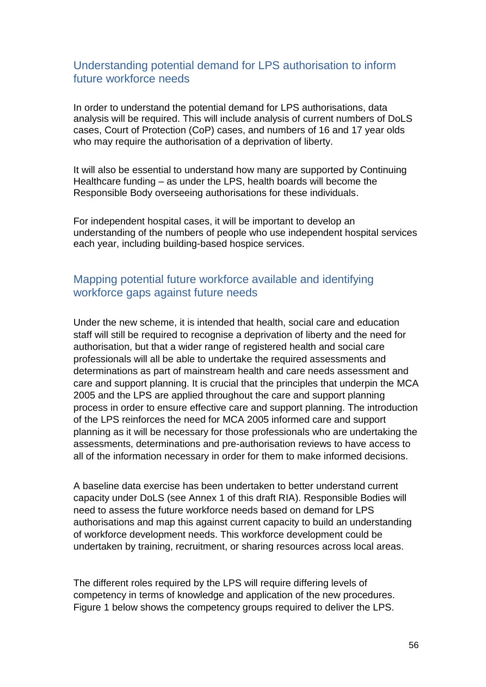## <span id="page-55-0"></span>Understanding potential demand for LPS authorisation to inform future workforce needs

In order to understand the potential demand for LPS authorisations, data analysis will be required. This will include analysis of current numbers of DoLS cases, Court of Protection (CoP) cases, and numbers of 16 and 17 year olds who may require the authorisation of a deprivation of liberty.

It will also be essential to understand how many are supported by Continuing Healthcare funding – as under the LPS, health boards will become the Responsible Body overseeing authorisations for these individuals.

For independent hospital cases, it will be important to develop an understanding of the numbers of people who use independent hospital services each year, including building-based hospice services.

# <span id="page-55-1"></span>Mapping potential future workforce available and identifying workforce gaps against future needs

Under the new scheme, it is intended that health, social care and education staff will still be required to recognise a deprivation of liberty and the need for authorisation, but that a wider range of registered health and social care professionals will all be able to undertake the required assessments and determinations as part of mainstream health and care needs assessment and care and support planning. It is crucial that the principles that underpin the MCA 2005 and the LPS are applied throughout the care and support planning process in order to ensure effective care and support planning. The introduction of the LPS reinforces the need for MCA 2005 informed care and support planning as it will be necessary for those professionals who are undertaking the assessments, determinations and pre-authorisation reviews to have access to all of the information necessary in order for them to make informed decisions.

A baseline data exercise has been undertaken to better understand current capacity under DoLS (see Annex 1 of this draft RIA). Responsible Bodies will need to assess the future workforce needs based on demand for LPS authorisations and map this against current capacity to build an understanding of workforce development needs. This workforce development could be undertaken by training, recruitment, or sharing resources across local areas.

The different roles required by the LPS will require differing levels of competency in terms of knowledge and application of the new procedures. Figure 1 below shows the competency groups required to deliver the LPS.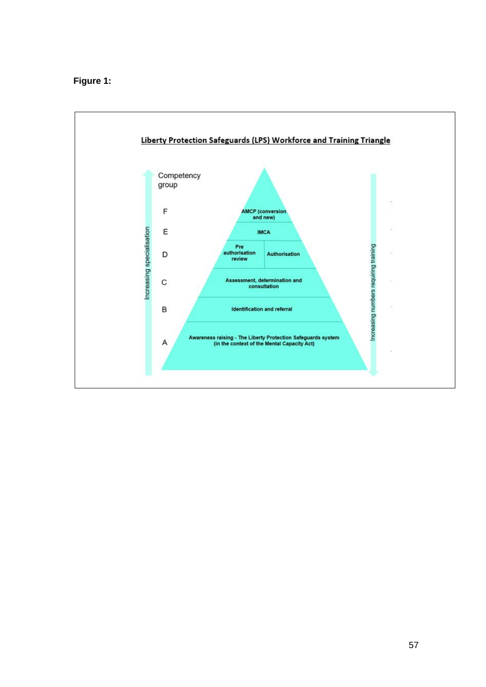#### **Figure 1:**

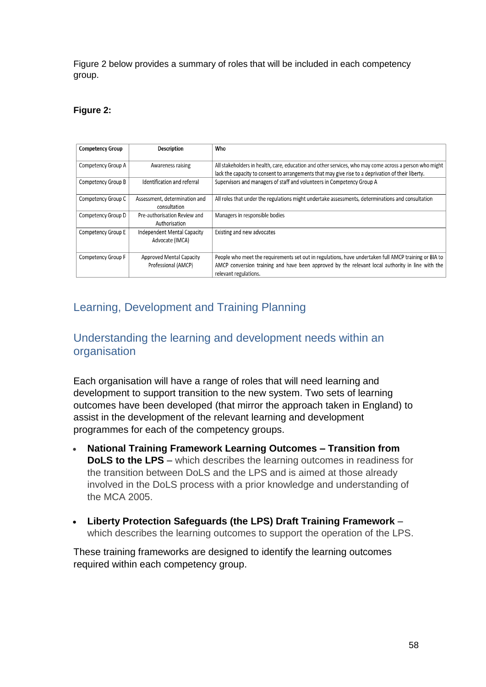Figure 2 below provides a summary of roles that will be included in each competency group.

#### **Figure 2:**

| <b>Competency Group</b> | <b>Description</b>              | Who                                                                                                    |
|-------------------------|---------------------------------|--------------------------------------------------------------------------------------------------------|
|                         |                                 |                                                                                                        |
| Competency Group A      | Awareness raising               | All stakeholders in health, care, education and other services, who may come across a person who might |
|                         |                                 | lack the capacity to consent to arrangements that may give rise to a deprivation of their liberty.     |
| Competency Group B      | Identification and referral     | Supervisors and managers of staff and volunteers in Competency Group A                                 |
|                         |                                 |                                                                                                        |
| Competency Group C      | Assessment, determination and   | All roles that under the regulations might undertake assessments, determinations and consultation      |
|                         | consultation                    |                                                                                                        |
| Competency Group D      | Pre-authorisation Review and    | Managers in responsible bodies                                                                         |
|                         | Authorisation                   |                                                                                                        |
| Competency Group E      | Independent Mental Capacity     | Existing and new advocates                                                                             |
|                         | Advocate (IMCA)                 |                                                                                                        |
|                         |                                 |                                                                                                        |
| Competency Group F      | <b>Approved Mental Capacity</b> | People who meet the requirements set out in regulations, have undertaken full AMCP training or BIA to  |
|                         | Professional (AMCP)             | AMCP conversion training and have been approved by the relevant local authority in line with the       |
|                         |                                 | relevant regulations.                                                                                  |

# <span id="page-57-0"></span>Learning, Development and Training Planning

# <span id="page-57-1"></span>Understanding the learning and development needs within an organisation

Each organisation will have a range of roles that will need learning and development to support transition to the new system. Two sets of learning outcomes have been developed (that mirror the approach taken in England) to assist in the development of the relevant learning and development programmes for each of the competency groups.

- **National Training Framework Learning Outcomes – Transition from DoLS to the LPS** – which describes the learning outcomes in readiness for the transition between DoLS and the LPS and is aimed at those already involved in the DoLS process with a prior knowledge and understanding of the MCA 2005.
- **Liberty Protection Safeguards (the LPS) Draft Training Framework**  which describes the learning outcomes to support the operation of the LPS.

These training frameworks are designed to identify the learning outcomes required within each competency group.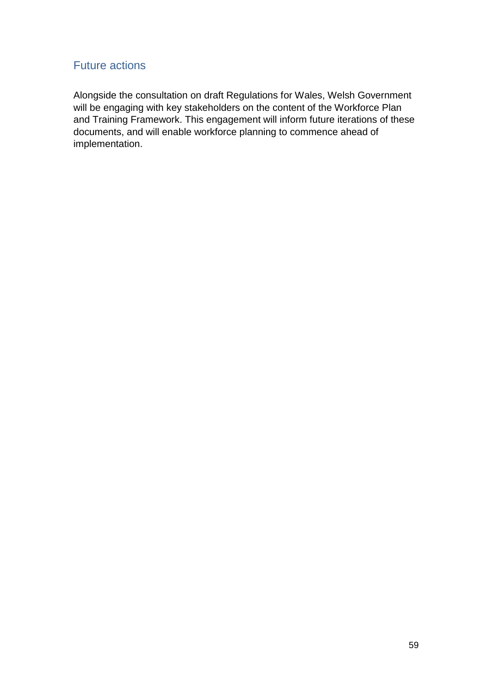# <span id="page-58-0"></span>Future actions

Alongside the consultation on draft Regulations for Wales, Welsh Government will be engaging with key stakeholders on the content of the Workforce Plan and Training Framework. This engagement will inform future iterations of these documents, and will enable workforce planning to commence ahead of implementation.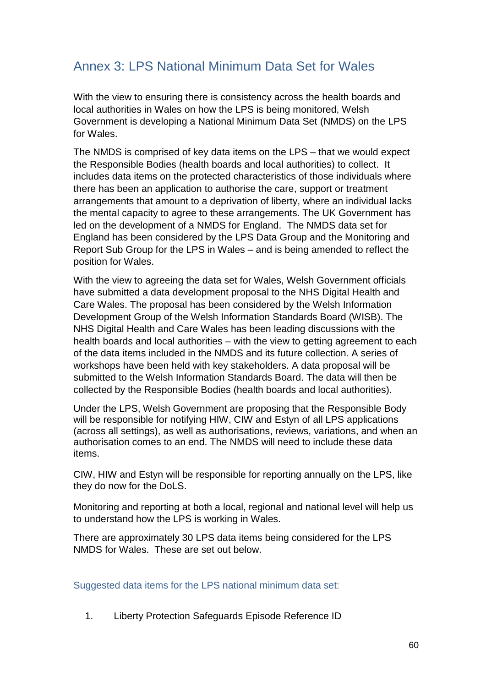# <span id="page-59-0"></span>Annex 3: LPS National Minimum Data Set for Wales

With the view to ensuring there is consistency across the health boards and local authorities in Wales on how the LPS is being monitored, Welsh Government is developing a National Minimum Data Set (NMDS) on the LPS for Wales.

The NMDS is comprised of key data items on the LPS – that we would expect the Responsible Bodies (health boards and local authorities) to collect. It includes data items on the protected characteristics of those individuals where there has been an application to authorise the care, support or treatment arrangements that amount to a deprivation of liberty, where an individual lacks the mental capacity to agree to these arrangements. The UK Government has led on the development of a NMDS for England. The NMDS data set for England has been considered by the LPS Data Group and the Monitoring and Report Sub Group for the LPS in Wales – and is being amended to reflect the position for Wales.

With the view to agreeing the data set for Wales, Welsh Government officials have submitted a data development proposal to the NHS Digital Health and Care Wales. The proposal has been considered by the Welsh Information Development Group of the Welsh Information Standards Board (WISB). The NHS Digital Health and Care Wales has been leading discussions with the health boards and local authorities – with the view to getting agreement to each of the data items included in the NMDS and its future collection. A series of workshops have been held with key stakeholders. A data proposal will be submitted to the Welsh Information Standards Board. The data will then be collected by the Responsible Bodies (health boards and local authorities).

Under the LPS, Welsh Government are proposing that the Responsible Body will be responsible for notifying HIW, CIW and Estyn of all LPS applications (across all settings), as well as authorisations, reviews, variations, and when an authorisation comes to an end. The NMDS will need to include these data items.

CIW, HIW and Estyn will be responsible for reporting annually on the LPS, like they do now for the DoLS.

Monitoring and reporting at both a local, regional and national level will help us to understand how the LPS is working in Wales.

There are approximately 30 LPS data items being considered for the LPS NMDS for Wales. These are set out below.

Suggested data items for the LPS national minimum data set:

1. Liberty Protection Safeguards Episode Reference ID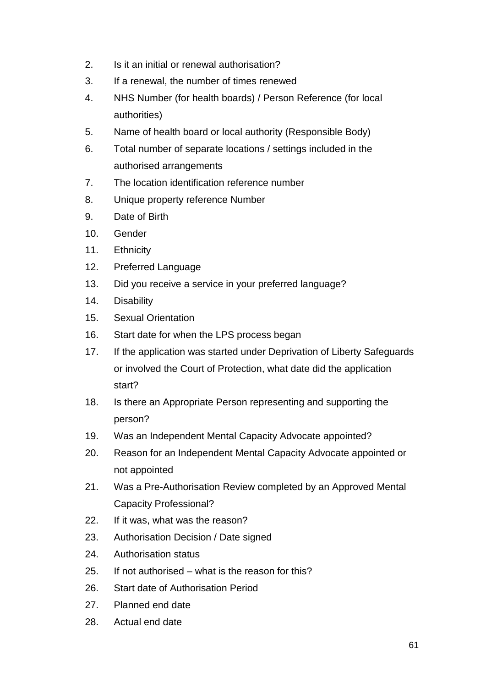- 2. Is it an initial or renewal authorisation?
- 3. If a renewal, the number of times renewed
- 4. NHS Number (for health boards) / Person Reference (for local authorities)
- 5. Name of health board or local authority (Responsible Body)
- 6. Total number of separate locations / settings included in the authorised arrangements
- 7. The location identification reference number
- 8. Unique property reference Number
- 9. Date of Birth
- 10. Gender
- 11. Ethnicity
- 12. Preferred Language
- 13. Did you receive a service in your preferred language?
- 14. Disability
- 15. Sexual Orientation
- 16. Start date for when the LPS process began
- 17. If the application was started under Deprivation of Liberty Safeguards or involved the Court of Protection, what date did the application start?
- 18. Is there an Appropriate Person representing and supporting the person?
- 19. Was an Independent Mental Capacity Advocate appointed?
- 20. Reason for an Independent Mental Capacity Advocate appointed or not appointed
- 21. Was a Pre-Authorisation Review completed by an Approved Mental Capacity Professional?
- 22. If it was, what was the reason?
- 23. Authorisation Decision / Date signed
- 24. Authorisation status
- 25. If not authorised what is the reason for this?
- 26. Start date of Authorisation Period
- 27. Planned end date
- 28. Actual end date